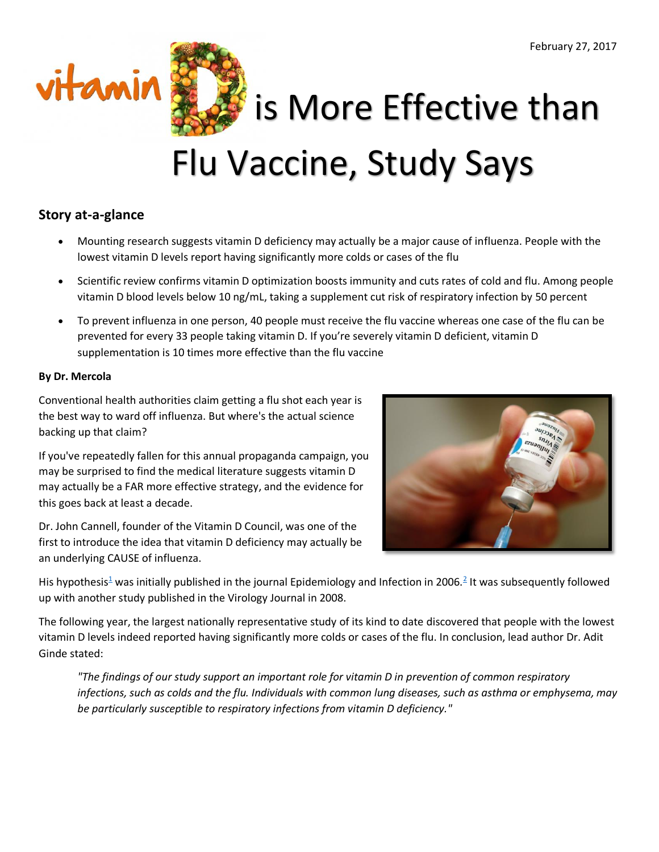

vitamin  $\sum$  is More Effective than Flu Vaccine, Study Says

# **Story at-a-glance**

- Mounting research suggests vitamin D deficiency may actually be a major cause of influenza. People with the lowest vitamin D levels report having significantly more colds or cases of the flu
- Scientific review confirms vitamin D optimization boosts immunity and cuts rates of cold and flu. Among people vitamin D blood levels below 10 ng/mL, taking a supplement cut risk of respiratory infection by 50 percent
- To prevent influenza in one person, 40 people must receive the flu vaccine whereas one case of the flu can be prevented for every 33 people taking vitamin D. If you're severely vitamin D deficient, vitamin D supplementation is 10 times more effective than the flu vaccine

## **By Dr. Mercola**

Conventional health authorities claim getting a flu shot each year is the best way to ward off influenza. But where's the actual science backing up that claim?

If you've repeatedly fallen for this annual propaganda campaign, you may be surprised to find the medical literature suggests vitamin D may actually be a FAR more effective strategy, and the evidence for this goes back at least a decade.

Dr. John Cannell, founder of the Vitamin D Council, was one of the first to introduce the idea that vitamin D deficiency may actually be an underlying CAUSE of influenza.



Hi[s](https://articles.mercola.com/sites/articles/archive/2017/02/27/vitamin-d-better-than-flu-vaccine.aspx#_edn1) hypothesis<sup>1</sup> was initially published in the journal Epidemiology and Infection in [2](https://articles.mercola.com/sites/articles/archive/2017/02/27/vitamin-d-better-than-flu-vaccine.aspx#_edn2)006.<sup>2</sup> It was subsequently followed up with another study published in the Virology Journal in 2008.

The following year, the largest nationally representative study of its kind to date discovered that people with the lowest vitamin D levels indeed reported having significantly more colds or cases of the flu. In conclusion, lead author Dr. Adit Ginde stated:

*"The findings of our study support an important role for vitamin D in prevention of common respiratory infections, such as colds and the flu. Individuals with common lung diseases, such as asthma or emphysema, may be particularly susceptible to respiratory infections from vitamin D deficiency."*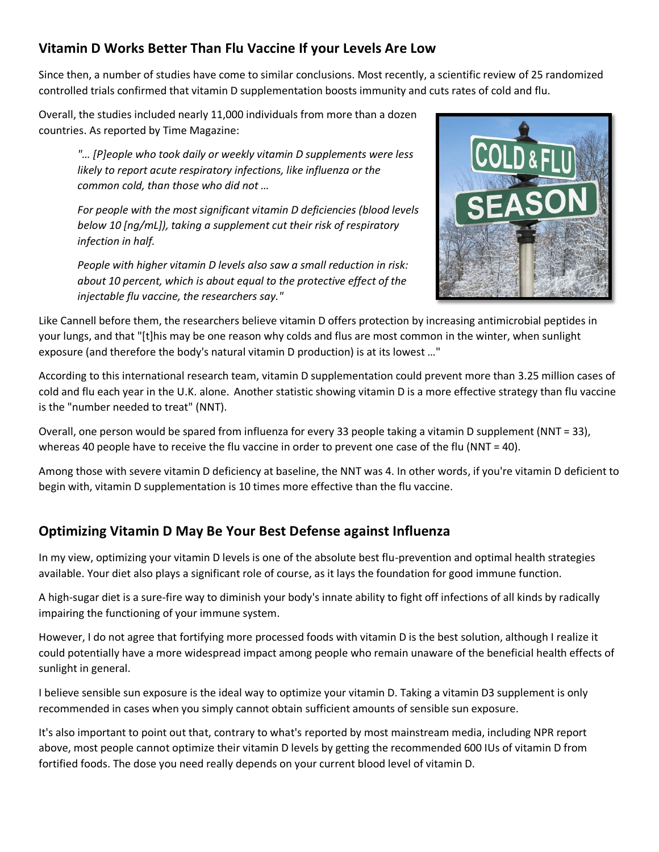# **Vitamin D Works Better Than Flu Vaccine If your Levels Are Low**

Since then, a number of studies have come to similar conclusions. Most recently, a scientific review of 25 randomized controlled trials confirmed that vitamin D supplementation boosts immunity and cuts rates of cold and flu.

Overall, the studies included nearly 11,000 individuals from more than a dozen countries. As reported by Time Magazine:

> *"… [P]eople who took daily or weekly vitamin D supplements were less likely to report acute respiratory infections, like influenza or the common cold, than those who did not …*

*For people with the most significant vitamin D deficiencies (blood levels below 10 [ng/mL]), taking a supplement cut their risk of respiratory infection in half.*

*People with higher vitamin D levels also saw a small reduction in risk: about 10 percent, which is about equal to the protective effect of the injectable flu vaccine, the researchers say."*



Like Cannell before them, the researchers believe vitamin D offers protection by increasing antimicrobial peptides in your lungs, and that "[t]his may be one reason why colds and flus are most common in the winter, when sunlight exposure (and therefore the body's natural vitamin D production) is at its lowest …"

According to this international research team, vitamin D supplementation could prevent more than 3.25 million cases of cold and flu each year in the U.K. alone. Another statistic showing vitamin D is a more effective strategy than flu vaccine is the "number needed to treat" (NNT).

Overall, one person would be spared from influenza for every 33 people taking a vitamin D supplement (NNT = 33), whereas 40 people have to receive the flu vaccine in order to prevent one case of the flu (NNT = 40).

Among those with severe vitamin D deficiency at baseline, the NNT was 4. In other words, if you're vitamin D deficient to begin with, vitamin D supplementation is 10 times more effective than the flu vaccine.

# **Optimizing Vitamin D May Be Your Best Defense against Influenza**

In my view, optimizing your vitamin D levels is one of the absolute best flu-prevention and optimal health strategies available. Your diet also plays a significant role of course, as it lays the foundation for good immune function.

A high-sugar diet is a sure-fire way to diminish your body's innate ability to fight off infections of all kinds by radically impairing the functioning of your immune system.

However, I do not agree that fortifying more processed foods with vitamin D is the best solution, although I realize it could potentially have a more widespread impact among people who remain unaware of the beneficial health effects of sunlight in general.

I believe sensible sun exposure is the ideal way to optimize your vitamin D. Taking a vitamin D3 supplement is only recommended in cases when you simply cannot obtain sufficient amounts of sensible sun exposure.

It's also important to point out that, contrary to what's reported by most mainstream media, including NPR report above, most people cannot optimize their vitamin D levels by getting the recommended 600 IUs of vitamin D from fortified foods. The dose you need really depends on your current blood level of vitamin D.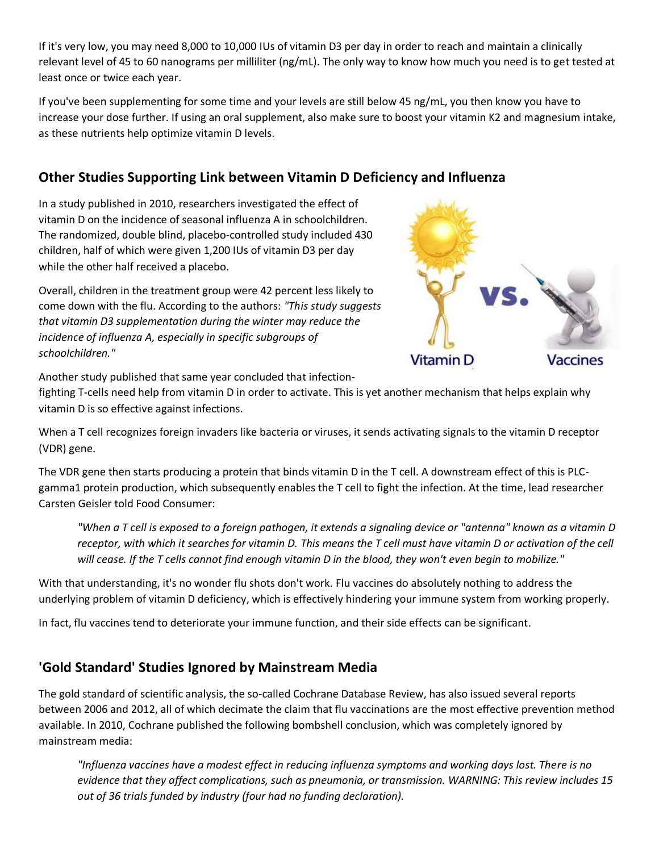If it's very low, you may need 8,000 to 10,000 IUs of vitamin D3 per day in order to reach and maintain a clinically relevant level of 45 to 60 nanograms per milliliter (ng/mL). The only way to know how much you need is to get tested at least once or twice each year.

If you've been supplementing for some time and your levels are still below 45 ng/mL, you then know you have to increase your dose further. If using an oral supplement, also make sure to boost your vitamin K2 and magnesium intake, as these nutrients help optimize vitamin D levels.

# **Other Studies Supporting Link between Vitamin D Deficiency and Influenza**

In a study published in 2010, researchers investigated the effect of vitamin D on the incidence of seasonal influenza A in schoolchildren. The randomized, double blind, placebo-controlled study included 430 children, half of which were given 1,200 IUs of vitamin D3 per day while the other half received a placebo.

Overall, children in the treatment group were 42 percent less likely to come down with the flu. According to the authors: *"This study suggests that vitamin D3 supplementation during the winter may reduce the incidence of influenza A, especially in specific subgroups of schoolchildren."*



Another study published that same year concluded that infection-

fighting T-cells need help from vitamin D in order to activate. This is yet another mechanism that helps explain why vitamin D is so effective against infections.

When a T cell recognizes foreign invaders like bacteria or viruses, it sends activating signals to the vitamin D receptor (VDR) gene.

The VDR gene then starts producing a protein that binds vitamin D in the T cell. A downstream effect of this is PLCgamma1 protein production, which subsequently enables the T cell to fight the infection. At the time, lead researcher Carsten Geisler told Food Consumer:

*"When a T cell is exposed to a foreign pathogen, it extends a signaling device or "antenna" known as a vitamin D receptor, with which it searches for vitamin D. This means the T cell must have vitamin D or activation of the cell will cease. If the T cells cannot find enough vitamin D in the blood, they won't even begin to mobilize."*

With that understanding, it's no wonder flu shots don't work. Flu vaccines do absolutely nothing to address the underlying problem of vitamin D deficiency, which is effectively hindering your immune system from working properly.

In fact, flu vaccines tend to deteriorate your immune function, and their side effects can be significant.

# **'Gold Standard' Studies Ignored by Mainstream Media**

The gold standard of scientific analysis, the so-called Cochrane Database Review, has also issued several reports between 2006 and 2012, all of which decimate the claim that flu vaccinations are the most effective prevention method available. In 2010, Cochrane published the following bombshell conclusion, which was completely ignored by mainstream media:

*"Influenza vaccines have a modest effect in reducing influenza symptoms and working days lost. There is no evidence that they affect complications, such as pneumonia, or transmission. WARNING: This review includes 15 out of 36 trials funded by industry (four had no funding declaration).*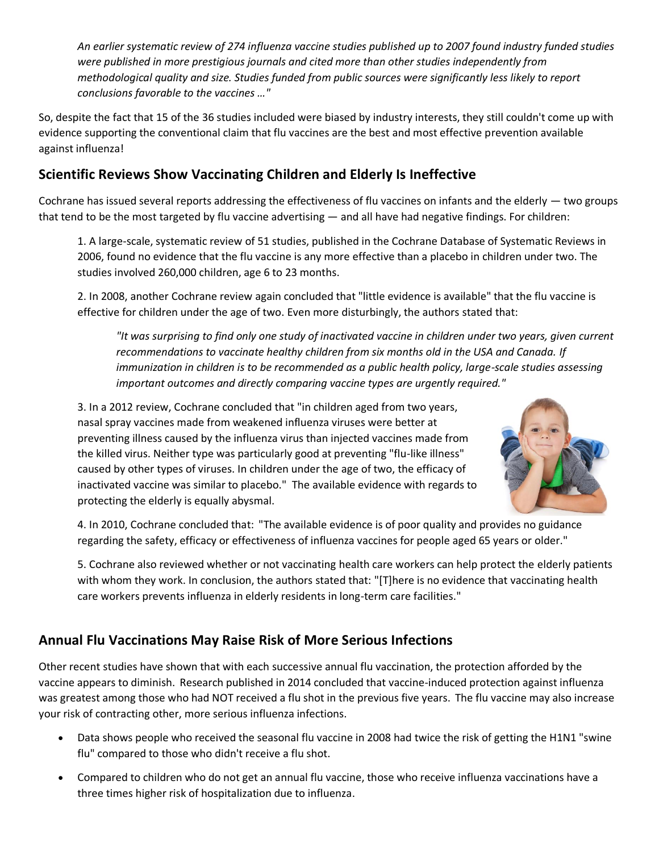*An earlier systematic review of 274 influenza vaccine studies published up to 2007 found industry funded studies were published in more prestigious journals and cited more than other studies independently from methodological quality and size. Studies funded from public sources were significantly less likely to report conclusions favorable to the vaccines …"*

So, despite the fact that 15 of the 36 studies included were biased by industry interests, they still couldn't come up with evidence supporting the conventional claim that flu vaccines are the best and most effective prevention available against influenza!

# **Scientific Reviews Show Vaccinating Children and Elderly Is Ineffective**

Cochrane has issued several reports addressing the effectiveness of flu vaccines on infants and the elderly — two groups that tend to be the most targeted by flu vaccine advertising — and all have had negative findings. For children:

1. A large-scale, systematic review of 51 studies, published in the Cochrane Database of Systematic Reviews in 2006, found no evidence that the flu vaccine is any more effective than a placebo in children under two. The studies involved 260,000 children, age 6 to 23 months.

2. In 2008, another Cochrane review again concluded that "little evidence is available" that the flu vaccine is effective for children under the age of two. Even more disturbingly, the authors stated that:

*"It was surprising to find only one study of inactivated vaccine in children under two years, given current recommendations to vaccinate healthy children from six months old in the USA and Canada. If immunization in children is to be recommended as a public health policy, large-scale studies assessing important outcomes and directly comparing vaccine types are urgently required."*

3. In a 2012 review, Cochrane concluded that "in children aged from two years, nasal spray vaccines made from weakened influenza viruses were better at preventing illness caused by the influenza virus than injected vaccines made from the killed virus. Neither type was particularly good at preventing "flu-like illness" caused by other types of viruses. In children under the age of two, the efficacy of inactivated vaccine was similar to placebo." The available evidence with regards to protecting the elderly is equally abysmal.



4. In 2010, Cochrane concluded that: "The available evidence is of poor quality and provides no guidance regarding the safety, efficacy or effectiveness of influenza vaccines for people aged 65 years or older."

5. Cochrane also reviewed whether or not vaccinating health care workers can help protect the elderly patients with whom they work. In conclusion, the authors stated that: "[T]here is no evidence that vaccinating health care workers prevents influenza in elderly residents in long-term care facilities."

# **Annual Flu Vaccinations May Raise Risk of More Serious Infections**

Other recent studies have shown that with each successive annual flu vaccination, the protection afforded by the vaccine appears to diminish. Research published in 2014 concluded that vaccine-induced protection against influenza was greatest among those who had NOT received a flu shot in the previous five years. The flu vaccine may also increase your risk of contracting other, more serious influenza infections.

- Data shows people who received the seasonal flu vaccine in 2008 had twice the risk of getting the H1N1 "swine flu" compared to those who didn't receive a flu shot.
- Compared to children who do not get an annual flu vaccine, those who receive influenza vaccinations have a three times higher risk of hospitalization due to influenza.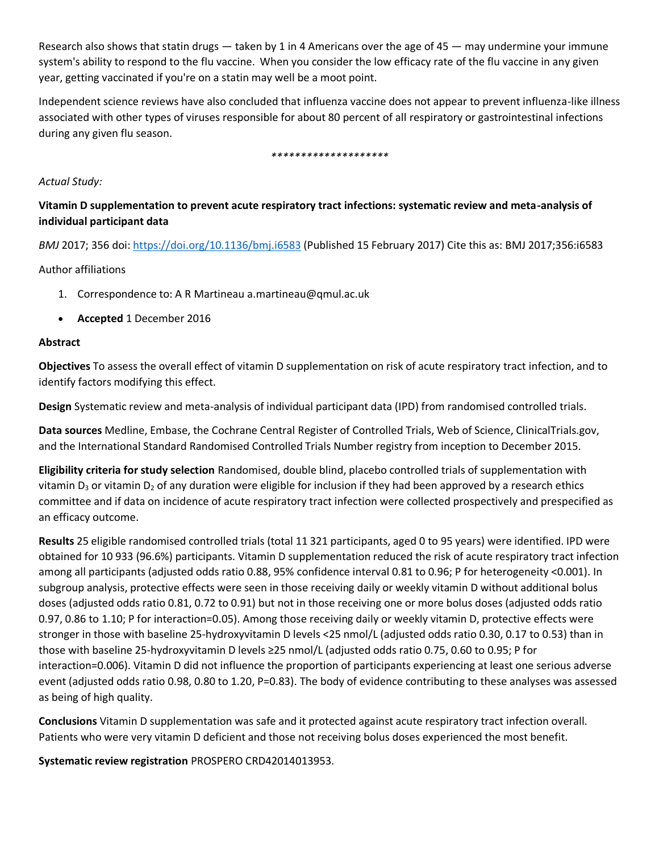Research also shows that statin drugs  $-$  taken by 1 in 4 Americans over the age of 45  $-$  may undermine your immune system's ability to respond to the flu vaccine. When you consider the low efficacy rate of the flu vaccine in any given year, getting vaccinated if you're on a statin may well be a moot point.

Independent science reviews have also concluded that influenza vaccine does not appear to prevent influenza-like illness associated with other types of viruses responsible for about 80 percent of all respiratory or gastrointestinal infections during any given flu season.

#### *\*\*\*\*\*\*\*\*\*\*\*\*\*\*\*\*\*\*\*\**

#### *Actual Study:*

## **Vitamin D supplementation to prevent acute respiratory tract infections: systematic review and meta-analysis of individual participant data**

*BMJ* 2017; 356 doi: <https://doi.org/10.1136/bmj.i6583> (Published 15 February 2017) Cite this as: BMJ 2017;356:i6583

#### Author affiliations

- 1. Correspondence to: A R Martineau a.martineau@qmul.ac.uk
- **Accepted** 1 December 2016

#### **Abstract**

**Objectives** To assess the overall effect of vitamin D supplementation on risk of acute respiratory tract infection, and to identify factors modifying this effect.

**Design** Systematic review and meta-analysis of individual participant data (IPD) from randomised controlled trials.

**Data sources** Medline, Embase, the Cochrane Central Register of Controlled Trials, Web of Science, ClinicalTrials.gov, and the International Standard Randomised Controlled Trials Number registry from inception to December 2015.

**Eligibility criteria for study selection** Randomised, double blind, placebo controlled trials of supplementation with vitamin  $D_3$  or vitamin  $D_2$  of any duration were eligible for inclusion if they had been approved by a research ethics committee and if data on incidence of acute respiratory tract infection were collected prospectively and prespecified as an efficacy outcome.

**Results** 25 eligible randomised controlled trials (total 11 321 participants, aged 0 to 95 years) were identified. IPD were obtained for 10 933 (96.6%) participants. Vitamin D supplementation reduced the risk of acute respiratory tract infection among all participants (adjusted odds ratio 0.88, 95% confidence interval 0.81 to 0.96; P for heterogeneity <0.001). In subgroup analysis, protective effects were seen in those receiving daily or weekly vitamin D without additional bolus doses (adjusted odds ratio 0.81, 0.72 to 0.91) but not in those receiving one or more bolus doses (adjusted odds ratio 0.97, 0.86 to 1.10; P for interaction=0.05). Among those receiving daily or weekly vitamin D, protective effects were stronger in those with baseline 25-hydroxyvitamin D levels <25 nmol/L (adjusted odds ratio 0.30, 0.17 to 0.53) than in those with baseline 25-hydroxyvitamin D levels ≥25 nmol/L (adjusted odds ratio 0.75, 0.60 to 0.95; P for interaction=0.006). Vitamin D did not influence the proportion of participants experiencing at least one serious adverse event (adjusted odds ratio 0.98, 0.80 to 1.20, P=0.83). The body of evidence contributing to these analyses was assessed as being of high quality.

**Conclusions** Vitamin D supplementation was safe and it protected against acute respiratory tract infection overall. Patients who were very vitamin D deficient and those not receiving bolus doses experienced the most benefit.

**Systematic review registration** PROSPERO CRD42014013953.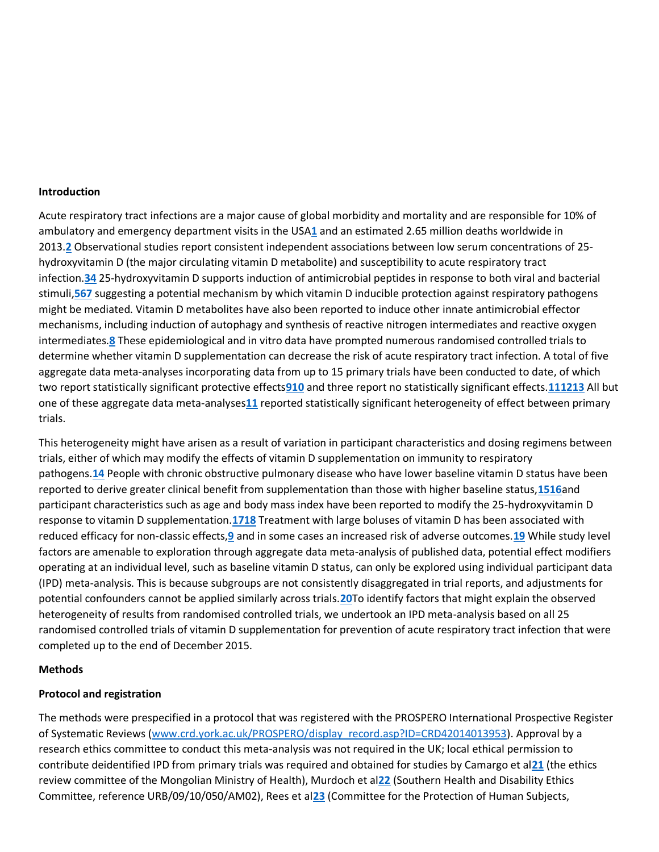#### **Introduction**

Acute respiratory tract infections are a major cause of global morbidity and mortality and are responsible for 10% of ambulatory and emergency department visits in the USA**[1](http://www.bmj.com/content/356/bmj.i6583#ref-1)** and an estimated 2.65 million deaths worldwide in 2013.**[2](http://www.bmj.com/content/356/bmj.i6583#ref-2)** Observational studies report consistent independent associations between low serum concentrations of 25 hydroxyvitamin D (the major circulating vitamin D metabolite) and susceptibility to acute respiratory tract infection.**[34](http://www.bmj.com/content/356/bmj.i6583#ref-3)** 25-hydroxyvitamin D supports induction of antimicrobial peptides in response to both viral and bacterial stimuli,**[56](http://www.bmj.com/content/356/bmj.i6583#ref-5)[7](http://www.bmj.com/content/356/bmj.i6583#ref-7)** suggesting a potential mechanism by which vitamin D inducible protection against respiratory pathogens might be mediated. Vitamin D metabolites have also been reported to induce other innate antimicrobial effector mechanisms, including induction of autophagy and synthesis of reactive nitrogen intermediates and reactive oxygen intermediates.**[8](http://www.bmj.com/content/356/bmj.i6583#ref-8)** These epidemiological and in vitro data have prompted numerous randomised controlled trials to determine whether vitamin D supplementation can decrease the risk of acute respiratory tract infection. A total of five aggregate data meta-analyses incorporating data from up to 15 primary trials have been conducted to date, of which two report statistically significant protective effects**[910](http://www.bmj.com/content/356/bmj.i6583#ref-9)** and three report no statistically significant effects.**[1112](http://www.bmj.com/content/356/bmj.i6583#ref-11)[13](http://www.bmj.com/content/356/bmj.i6583#ref-13)** All but one of these aggregate data meta-analyses**[11](http://www.bmj.com/content/356/bmj.i6583#ref-11)** reported statistically significant heterogeneity of effect between primary trials.

This heterogeneity might have arisen as a result of variation in participant characteristics and dosing regimens between trials, either of which may modify the effects of vitamin D supplementation on immunity to respiratory pathogens.**[14](http://www.bmj.com/content/356/bmj.i6583#ref-14)** People with chronic obstructive pulmonary disease who have lower baseline vitamin D status have been reported to derive greater clinical benefit from supplementation than those with higher baseline status,**[1516](http://www.bmj.com/content/356/bmj.i6583#ref-15)**and participant characteristics such as age and body mass index have been reported to modify the 25-hydroxyvitamin D response to vitamin D supplementation.**[1718](http://www.bmj.com/content/356/bmj.i6583#ref-17)** Treatment with large boluses of vitamin D has been associated with reduced efficacy for non-classic effects,**[9](http://www.bmj.com/content/356/bmj.i6583#ref-9)** and in some cases an increased risk of adverse outcomes.**[19](http://www.bmj.com/content/356/bmj.i6583#ref-19)** While study level factors are amenable to exploration through aggregate data meta-analysis of published data, potential effect modifiers operating at an individual level, such as baseline vitamin D status, can only be explored using individual participant data (IPD) meta-analysis. This is because subgroups are not consistently disaggregated in trial reports, and adjustments for potential confounders cannot be applied similarly across trials.**[20](http://www.bmj.com/content/356/bmj.i6583#ref-20)**To identify factors that might explain the observed heterogeneity of results from randomised controlled trials, we undertook an IPD meta-analysis based on all 25 randomised controlled trials of vitamin D supplementation for prevention of acute respiratory tract infection that were completed up to the end of December 2015.

#### **Methods**

#### **Protocol and registration**

The methods were prespecified in a protocol that was registered with the PROSPERO International Prospective Register of Systematic Reviews [\(www.crd.york.ac.uk/PROSPERO/display\\_record.asp?ID=CRD42014013953\)](http://www.crd.york.ac.uk/PROSPERO/display_record.asp?ID=CRD42014013953). Approval by a research ethics committee to conduct this meta-analysis was not required in the UK; local ethical permission to contribute deidentified IPD from primary trials was required and obtained for studies by Camargo et al**[21](http://www.bmj.com/content/356/bmj.i6583#ref-21)** (the ethics review committee of the Mongolian Ministry of Health), Murdoch et al**[22](http://www.bmj.com/content/356/bmj.i6583#ref-22)** (Southern Health and Disability Ethics Committee, reference URB/09/10/050/AM02), Rees et al**[23](http://www.bmj.com/content/356/bmj.i6583#ref-23)** (Committee for the Protection of Human Subjects,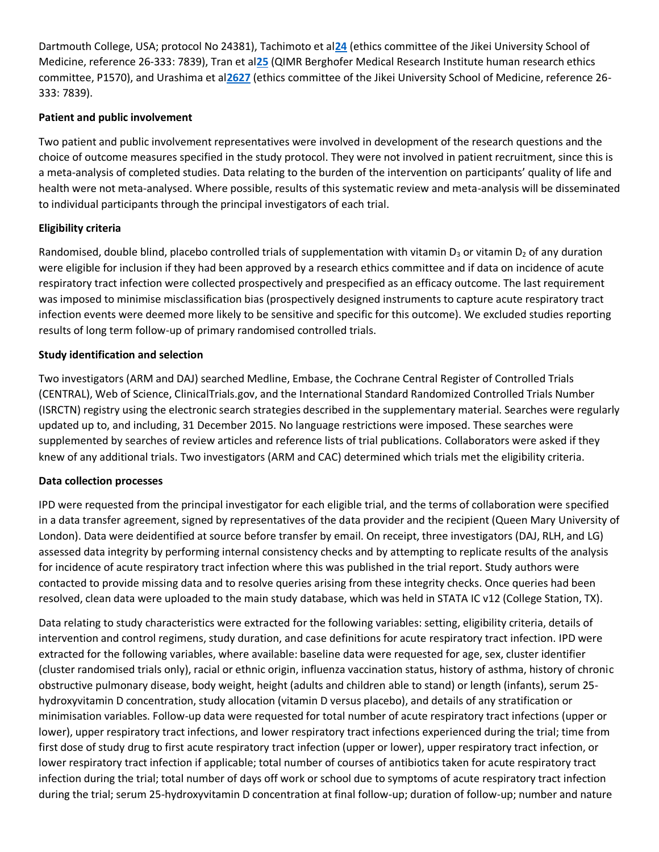Dartmouth College, USA; protocol No 24381), Tachimoto et al**[24](http://www.bmj.com/content/356/bmj.i6583#ref-24)** (ethics committee of the Jikei University School of Medicine, reference 26-333: 7839), Tran et al**[25](http://www.bmj.com/content/356/bmj.i6583#ref-25)** (QIMR Berghofer Medical Research Institute human research ethics committee, P1570), and Urashima et al**[2627](http://www.bmj.com/content/356/bmj.i6583#ref-26)** (ethics committee of the Jikei University School of Medicine, reference 26- 333: 7839).

## **Patient and public involvement**

Two patient and public involvement representatives were involved in development of the research questions and the choice of outcome measures specified in the study protocol. They were not involved in patient recruitment, since this is a meta-analysis of completed studies. Data relating to the burden of the intervention on participants' quality of life and health were not meta-analysed. Where possible, results of this systematic review and meta-analysis will be disseminated to individual participants through the principal investigators of each trial.

## **Eligibility criteria**

Randomised, double blind, placebo controlled trials of supplementation with vitamin  $D_3$  or vitamin  $D_2$  of any duration were eligible for inclusion if they had been approved by a research ethics committee and if data on incidence of acute respiratory tract infection were collected prospectively and prespecified as an efficacy outcome. The last requirement was imposed to minimise misclassification bias (prospectively designed instruments to capture acute respiratory tract infection events were deemed more likely to be sensitive and specific for this outcome). We excluded studies reporting results of long term follow-up of primary randomised controlled trials.

### **Study identification and selection**

Two investigators (ARM and DAJ) searched Medline, Embase, the Cochrane Central Register of Controlled Trials (CENTRAL), Web of Science, ClinicalTrials.gov, and the International Standard Randomized Controlled Trials Number (ISRCTN) registry using the electronic search strategies described in the supplementary material. Searches were regularly updated up to, and including, 31 December 2015. No language restrictions were imposed. These searches were supplemented by searches of review articles and reference lists of trial publications. Collaborators were asked if they knew of any additional trials. Two investigators (ARM and CAC) determined which trials met the eligibility criteria.

#### **Data collection processes**

IPD were requested from the principal investigator for each eligible trial, and the terms of collaboration were specified in a data transfer agreement, signed by representatives of the data provider and the recipient (Queen Mary University of London). Data were deidentified at source before transfer by email. On receipt, three investigators (DAJ, RLH, and LG) assessed data integrity by performing internal consistency checks and by attempting to replicate results of the analysis for incidence of acute respiratory tract infection where this was published in the trial report. Study authors were contacted to provide missing data and to resolve queries arising from these integrity checks. Once queries had been resolved, clean data were uploaded to the main study database, which was held in STATA IC v12 (College Station, TX).

Data relating to study characteristics were extracted for the following variables: setting, eligibility criteria, details of intervention and control regimens, study duration, and case definitions for acute respiratory tract infection. IPD were extracted for the following variables, where available: baseline data were requested for age, sex, cluster identifier (cluster randomised trials only), racial or ethnic origin, influenza vaccination status, history of asthma, history of chronic obstructive pulmonary disease, body weight, height (adults and children able to stand) or length (infants), serum 25 hydroxyvitamin D concentration, study allocation (vitamin D versus placebo), and details of any stratification or minimisation variables. Follow-up data were requested for total number of acute respiratory tract infections (upper or lower), upper respiratory tract infections, and lower respiratory tract infections experienced during the trial; time from first dose of study drug to first acute respiratory tract infection (upper or lower), upper respiratory tract infection, or lower respiratory tract infection if applicable; total number of courses of antibiotics taken for acute respiratory tract infection during the trial; total number of days off work or school due to symptoms of acute respiratory tract infection during the trial; serum 25-hydroxyvitamin D concentration at final follow-up; duration of follow-up; number and nature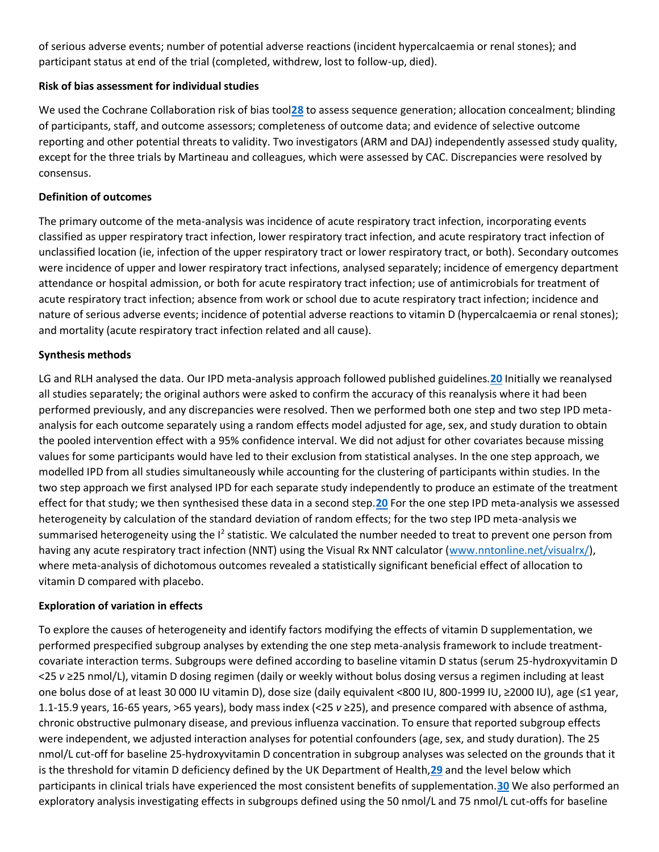of serious adverse events; number of potential adverse reactions (incident hypercalcaemia or renal stones); and participant status at end of the trial (completed, withdrew, lost to follow-up, died).

## **Risk of bias assessment for individual studies**

We used the Cochrane Collaboration risk of bias tool**[28](http://www.bmj.com/content/356/bmj.i6583#ref-28)** to assess sequence generation; allocation concealment; blinding of participants, staff, and outcome assessors; completeness of outcome data; and evidence of selective outcome reporting and other potential threats to validity. Two investigators (ARM and DAJ) independently assessed study quality, except for the three trials by Martineau and colleagues, which were assessed by CAC. Discrepancies were resolved by consensus.

## **Definition of outcomes**

The primary outcome of the meta-analysis was incidence of acute respiratory tract infection, incorporating events classified as upper respiratory tract infection, lower respiratory tract infection, and acute respiratory tract infection of unclassified location (ie, infection of the upper respiratory tract or lower respiratory tract, or both). Secondary outcomes were incidence of upper and lower respiratory tract infections, analysed separately; incidence of emergency department attendance or hospital admission, or both for acute respiratory tract infection; use of antimicrobials for treatment of acute respiratory tract infection; absence from work or school due to acute respiratory tract infection; incidence and nature of serious adverse events; incidence of potential adverse reactions to vitamin D (hypercalcaemia or renal stones); and mortality (acute respiratory tract infection related and all cause).

### **Synthesis methods**

LG and RLH analysed the data. Our IPD meta-analysis approach followed published guidelines.**[20](http://www.bmj.com/content/356/bmj.i6583#ref-20)** Initially we reanalysed all studies separately; the original authors were asked to confirm the accuracy of this reanalysis where it had been performed previously, and any discrepancies were resolved. Then we performed both one step and two step IPD metaanalysis for each outcome separately using a random effects model adjusted for age, sex, and study duration to obtain the pooled intervention effect with a 95% confidence interval. We did not adjust for other covariates because missing values for some participants would have led to their exclusion from statistical analyses. In the one step approach, we modelled IPD from all studies simultaneously while accounting for the clustering of participants within studies. In the two step approach we first analysed IPD for each separate study independently to produce an estimate of the treatment effect for that study; we then synthesised these data in a second step.**[20](http://www.bmj.com/content/356/bmj.i6583#ref-20)** For the one step IPD meta-analysis we assessed heterogeneity by calculation of the standard deviation of random effects; for the two step IPD meta-analysis we summarised heterogeneity using the I<sup>2</sup> statistic. We calculated the number needed to treat to prevent one person from having any acute respiratory tract infection (NNT) using the Visual Rx NNT calculator [\(www.nntonline.net/visualrx/\)](http://www.nntonline.net/visualrx/), where meta-analysis of dichotomous outcomes revealed a statistically significant beneficial effect of allocation to vitamin D compared with placebo.

#### **Exploration of variation in effects**

To explore the causes of heterogeneity and identify factors modifying the effects of vitamin D supplementation, we performed prespecified subgroup analyses by extending the one step meta-analysis framework to include treatmentcovariate interaction terms. Subgroups were defined according to baseline vitamin D status (serum 25-hydroxyvitamin D <25 *v* ≥25 nmol/L), vitamin D dosing regimen (daily or weekly without bolus dosing versus a regimen including at least one bolus dose of at least 30 000 IU vitamin D), dose size (daily equivalent <800 IU, 800-1999 IU, ≥2000 IU), age (≤1 year, 1.1-15.9 years, 16-65 years, >65 years), body mass index (<25 *v* ≥25), and presence compared with absence of asthma, chronic obstructive pulmonary disease, and previous influenza vaccination. To ensure that reported subgroup effects were independent, we adjusted interaction analyses for potential confounders (age, sex, and study duration). The 25 nmol/L cut-off for baseline 25-hydroxyvitamin D concentration in subgroup analyses was selected on the grounds that it is the threshold for vitamin D deficiency defined by the UK Department of Health,**[29](http://www.bmj.com/content/356/bmj.i6583#ref-29)** and the level below which participants in clinical trials have experienced the most consistent benefits of supplementation.**[30](http://www.bmj.com/content/356/bmj.i6583#ref-30)** We also performed an exploratory analysis investigating effects in subgroups defined using the 50 nmol/L and 75 nmol/L cut-offs for baseline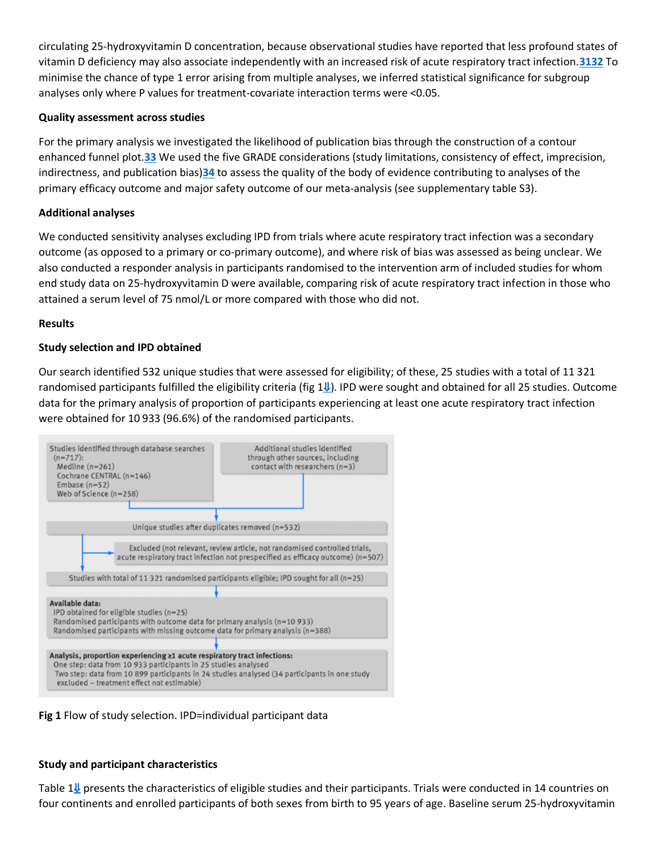circulating 25-hydroxyvitamin D concentration, because observational studies have reported that less profound states of vitamin D deficiency may also associate independently with an increased risk of acute respiratory tract infection.**[3132](http://www.bmj.com/content/356/bmj.i6583#ref-31)** To minimise the chance of type 1 error arising from multiple analyses, we inferred statistical significance for subgroup analyses only where P values for treatment-covariate interaction terms were <0.05.

## **Quality assessment across studies**

For the primary analysis we investigated the likelihood of publication bias through the construction of a contour enhanced funnel plot.**[33](http://www.bmj.com/content/356/bmj.i6583#ref-33)** We used the five GRADE considerations (study limitations, consistency of effect, imprecision, indirectness, and publication bias)**[34](http://www.bmj.com/content/356/bmj.i6583#ref-34)** to assess the quality of the body of evidence contributing to analyses of the primary efficacy outcome and major safety outcome of our meta-analysis (see supplementary table S3).

## **Additional analyses**

We conducted sensitivity analyses excluding IPD from trials where acute respiratory tract infection was a secondary outcome (as opposed to a primary or co-primary outcome), and where risk of bias was assessed as being unclear. We also conducted a responder analysis in participants randomised to the intervention arm of included studies for whom end study data on 25-hydroxyvitamin D were available, comparing risk of acute respiratory tract infection in those who attained a serum level of 75 nmol/L or more compared with those who did not.

## **Results**

## **Study selection and IPD obtained**

Our search identified 532 unique studies that were assessed for eligibility; of these, 25 studies with a total of 11 321 randomised participants fulfilled the eligibility criteria (fig  $1\mathbf{I}$ ). IPD were sought and obtained for all 25 studies. Outcome data for the primary analysis of proportion of participants experiencing at least one acute respiratory tract infection were obtained for 10 933 (96.6%) of the randomised participants.



**Fig 1** Flow of study selection. IPD=individual participant data

## **Study and participant characteristics**

Table  $1\psi$  presents the characteristics of eligible studies and their participants. Trials were conducted in 14 countries on four continents and enrolled participants of both sexes from birth to 95 years of age. Baseline serum 25-hydroxyvitamin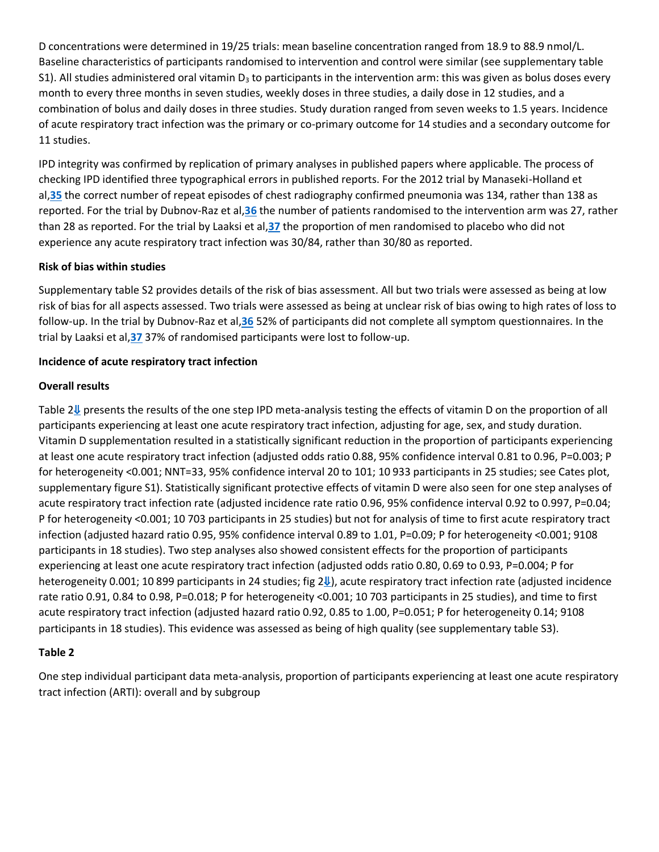D concentrations were determined in 19/25 trials: mean baseline concentration ranged from 18.9 to 88.9 nmol/L. Baseline characteristics of participants randomised to intervention and control were similar (see supplementary table S1). All studies administered oral vitamin  $D_3$  to participants in the intervention arm: this was given as bolus doses every month to every three months in seven studies, weekly doses in three studies, a daily dose in 12 studies, and a combination of bolus and daily doses in three studies. Study duration ranged from seven weeks to 1.5 years. Incidence of acute respiratory tract infection was the primary or co-primary outcome for 14 studies and a secondary outcome for 11 studies.

IPD integrity was confirmed by replication of primary analyses in published papers where applicable. The process of checking IPD identified three typographical errors in published reports. For the 2012 trial by Manaseki-Holland et al,**[35](http://www.bmj.com/content/356/bmj.i6583#ref-35)** the correct number of repeat episodes of chest radiography confirmed pneumonia was 134, rather than 138 as reported. For the trial by Dubnov-Raz et al,**[36](http://www.bmj.com/content/356/bmj.i6583#ref-36)** the number of patients randomised to the intervention arm was 27, rather than 28 as reported. For the trial by Laaksi et al,**[37](http://www.bmj.com/content/356/bmj.i6583#ref-37)** the proportion of men randomised to placebo who did not experience any acute respiratory tract infection was 30/84, rather than 30/80 as reported.

## **Risk of bias within studies**

Supplementary table S2 provides details of the risk of bias assessment. All but two trials were assessed as being at low risk of bias for all aspects assessed. Two trials were assessed as being at unclear risk of bias owing to high rates of loss to follow-up. In the trial by Dubnov-Raz et al,**[36](http://www.bmj.com/content/356/bmj.i6583#ref-36)** 52% of participants did not complete all symptom questionnaires. In the trial by Laaksi et al,**[37](http://www.bmj.com/content/356/bmj.i6583#ref-37)** 37% of randomised participants were lost to follow-up.

### **Incidence of acute respiratory tract infection**

#### **Overall results**

Table 2[⇓](http://www.bmj.com/content/356/bmj.i6583#T2) presents the results of the one step IPD meta-analysis testing the effects of vitamin D on the proportion of all participants experiencing at least one acute respiratory tract infection, adjusting for age, sex, and study duration. Vitamin D supplementation resulted in a statistically significant reduction in the proportion of participants experiencing at least one acute respiratory tract infection (adjusted odds ratio 0.88, 95% confidence interval 0.81 to 0.96, P=0.003; P for heterogeneity <0.001; NNT=33, 95% confidence interval 20 to 101; 10 933 participants in 25 studies; see Cates plot, supplementary figure S1). Statistically significant protective effects of vitamin D were also seen for one step analyses of acute respiratory tract infection rate (adjusted incidence rate ratio 0.96, 95% confidence interval 0.92 to 0.997, P=0.04; P for heterogeneity <0.001; 10 703 participants in 25 studies) but not for analysis of time to first acute respiratory tract infection (adjusted hazard ratio 0.95, 95% confidence interval 0.89 to 1.01, P=0.09; P for heterogeneity <0.001; 9108 participants in 18 studies). Two step analyses also showed consistent effects for the proportion of participants experiencing at least one acute respiratory tract infection (adjusted odds ratio 0.80, 0.69 to 0.93, P=0.004; P for heterogeneity 0.001; 10 899 participants in 24 studies; fig 2↓), acute respiratory tract infection rate (adjusted incidence rate ratio 0.91, 0.84 to 0.98, P=0.018; P for heterogeneity <0.001; 10 703 participants in 25 studies), and time to first acute respiratory tract infection (adjusted hazard ratio 0.92, 0.85 to 1.00, P=0.051; P for heterogeneity 0.14; 9108 participants in 18 studies). This evidence was assessed as being of high quality (see supplementary table S3).

## **Table 2**

One step individual participant data meta-analysis, proportion of participants experiencing at least one acute respiratory tract infection (ARTI): overall and by subgroup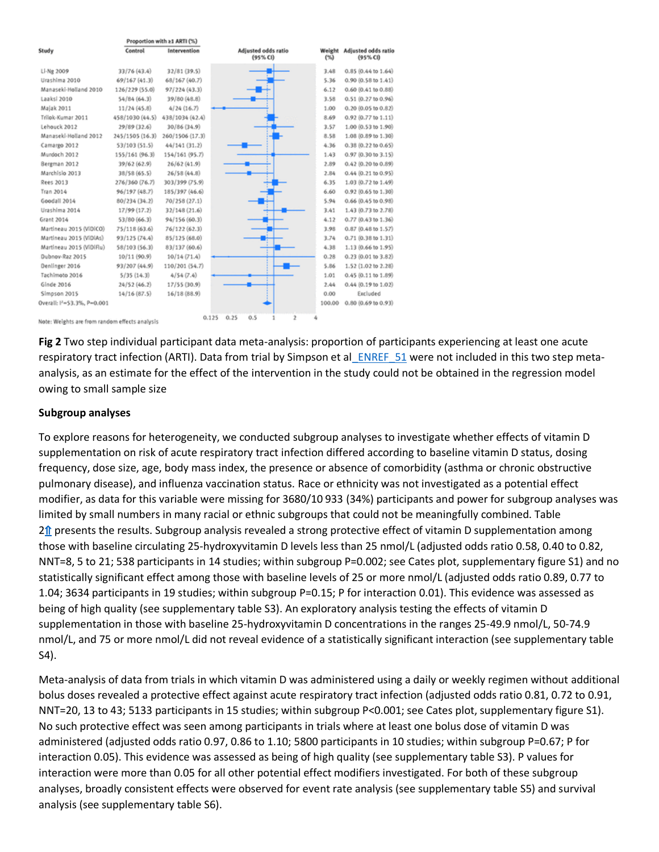|                                                | Proportion with ≥1 ARTI (%) |                 |                                   |                 |                                |
|------------------------------------------------|-----------------------------|-----------------|-----------------------------------|-----------------|--------------------------------|
| Study                                          | Control                     | Intervention    | Adjusted odds ratio<br>(95% CI)   | Weight<br>$(*)$ | Adjusted odds ratk<br>(95% CI) |
| Li-Ng 2009                                     | 33/76 (43.4)                | 32/81(39.5)     |                                   | 3.48            | 0.85 (0.44 to 1.64)            |
| Urashima 2010                                  | 69/167 (41.3)               | 68/167 (40.7)   |                                   | 5.36            | $0.90(0.58 \text{ to } 1.41)$  |
| Manaseki-Holland 2010                          | 126/229 (55.0)              | 97/224 (43.3)   |                                   | 6.12            | $0.60$ $(0.41$ to $0.88)$      |
| Laaksi 2010                                    | 54/84 (64.3)                | 39/80 (48.8)    |                                   | 3.58            | $0.51(0.27 \text{ to } 0.96)$  |
| Majak 2011                                     | 11/24(45.8)                 | 4/24(16.7)      |                                   | 1.00            | 0.20 (0.05 to 0.82)            |
| Trilok-Kumar 2011                              | 458/1030 (44.5)             | 438/1034 (42.4) |                                   | 8.69            | $0.92$ $(0.77$ to $1.11)$      |
| Lehouck 2012                                   | 29/89 (32.6)                | 30/86 (34.9)    |                                   | 3.57            | 1.00 (0.53 to 1.90)            |
| Manaseki-Holland 2012                          | 245/1505 (16.3)             | 260/1506 (17.3) |                                   | 8.58            | 1.08 (0.89 to 1.30)            |
| Camargo 2012                                   | 53/103 (51.5)               | 44/141 (31.2)   |                                   | 4.36            | $0.38(0.22 \text{ to } 0.65)$  |
| Murdoch 2012                                   | 155/161 (96.3)              | 154/161 (95.7)  |                                   | 1.43            | $0.97(0.30 \text{ to } 3.15)$  |
| Bergman 2012                                   | 39/62 (62.9)                | 26/62 (41.9)    |                                   | 2.89            | 0.42 (0.20 to 0.89)            |
| Marchislo 2013                                 | 38/58 (65.5)                | 26/58(44.8)     |                                   | 2.84            | $0.44$ $(0.21$ to $0.95)$      |
| Rees 2013                                      | 276/360 (76.7)              | 303/399 (75.9)  |                                   | 6.35            | 1.03 (0.72 to 1.49)            |
| Tran 2014                                      | 96/197 (48.7)               | 185/397 (46.6)  |                                   | 6.60            | 0.92 (0.65 to 1.30)            |
| Goodall 2014                                   | 80/234 (34.2)               | 70/258 (27.1)   |                                   | 5.94            | $0.66$ $(0.45$ to $0.98)$      |
| Urashima 2014                                  | 17/99 (17.2)                | 32/148 (21.6)   |                                   | 3.41            | 1.43 (0.73 to 2.78)            |
| Grant 2014                                     | 53/80 (66.3)                | 94/156 (60.3)   |                                   | 4.12            | 0.77 (0.43 to 1.36)            |
| Martineau 2015 (ViDICO)                        | 75/118 (63.6)               | 76/122 (62.3)   |                                   | 3.98            | $0.87(0.48 \text{ to } 1.57)$  |
| Martíneau 2015 (ViDiAs)                        | 93/125 (74.4)               | 85/125 (68.0)   |                                   | 3.74            | $0.71$ $(0.38$ to $1.31)$      |
| Martineau 2015 (ViDiFlu)                       | 58/103 (56.3)               | 83/137 (60.6)   |                                   | 4.38            | 1.13 (0.66 to 1.95)            |
| Dubnov-Raz 2015                                | 10/11 (90.9)                | 10/14(71.4)     |                                   | 0.28            | $0.23(0.01$ to $3.82)$         |
| Denlinger 2016                                 | 93/207 (44.9)               | 110/201 (54.7)  |                                   | 5.86            | 1.52 (1.02 to 2.28)            |
| Tachimoto 2016                                 | 5/35(14.3)                  | 4/54(7.4)       |                                   | 1.01            | $0.45(0.11$ to $1.89$          |
| Ginde 2016                                     | 24/52 (46.2)                | 17/55 (30.9)    |                                   | 2.44            | 0.44 (0.19 to 1.02)            |
| Simpson 2015                                   | 14/16(87.5)                 | 16/18(88.9)     |                                   | 0.00            | Excluded                       |
| Overall: I <sup>1</sup> =53.3%, P=0.001        |                             |                 |                                   | 100.00          | $0.80$ $(0.69$ to $0.93)$      |
| Note: Weights are from random effects analysis |                             |                 | 0.125<br>0.25<br>0.5<br>$\bar{z}$ |                 |                                |

**Fig 2** Two step individual participant data meta-analysis: proportion of participants experiencing at least one acute respiratory tract infection (ARTI). Data from trial by Simpson et al ENREF 51 were not included in this two step metaanalysis, as an estimate for the effect of the intervention in the study could not be obtained in the regression model owing to small sample size

#### **Subgroup analyses**

To explore reasons for heterogeneity, we conducted subgroup analyses to investigate whether effects of vitamin D supplementation on risk of acute respiratory tract infection differed according to baseline vitamin D status, dosing frequency, dose size, age, body mass index, the presence or absence of comorbidity (asthma or chronic obstructive pulmonary disease), and influenza vaccination status. Race or ethnicity was not investigated as a potential effect modifier, as data for this variable were missing for 3680/10 933 (34%) participants and power for subgroup analyses was limited by small numbers in many racial or ethnic subgroups that could not be meaningfully combined. Table  $2<sup>1</sup>$  presents the results. Subgroup analysis revealed a strong protective effect of vitamin D supplementation among those with baseline circulating 25-hydroxyvitamin D levels less than 25 nmol/L (adjusted odds ratio 0.58, 0.40 to 0.82, NNT=8, 5 to 21; 538 participants in 14 studies; within subgroup P=0.002; see Cates plot, supplementary figure S1) and no statistically significant effect among those with baseline levels of 25 or more nmol/L (adjusted odds ratio 0.89, 0.77 to 1.04; 3634 participants in 19 studies; within subgroup P=0.15; P for interaction 0.01). This evidence was assessed as being of high quality (see supplementary table S3). An exploratory analysis testing the effects of vitamin D supplementation in those with baseline 25-hydroxyvitamin D concentrations in the ranges 25-49.9 nmol/L, 50-74.9 nmol/L, and 75 or more nmol/L did not reveal evidence of a statistically significant interaction (see supplementary table S4).

Meta-analysis of data from trials in which vitamin D was administered using a daily or weekly regimen without additional bolus doses revealed a protective effect against acute respiratory tract infection (adjusted odds ratio 0.81, 0.72 to 0.91, NNT=20, 13 to 43; 5133 participants in 15 studies; within subgroup P<0.001; see Cates plot, supplementary figure S1). No such protective effect was seen among participants in trials where at least one bolus dose of vitamin D was administered (adjusted odds ratio 0.97, 0.86 to 1.10; 5800 participants in 10 studies; within subgroup P=0.67; P for interaction 0.05). This evidence was assessed as being of high quality (see supplementary table S3). P values for interaction were more than 0.05 for all other potential effect modifiers investigated. For both of these subgroup analyses, broadly consistent effects were observed for event rate analysis (see supplementary table S5) and survival analysis (see supplementary table S6).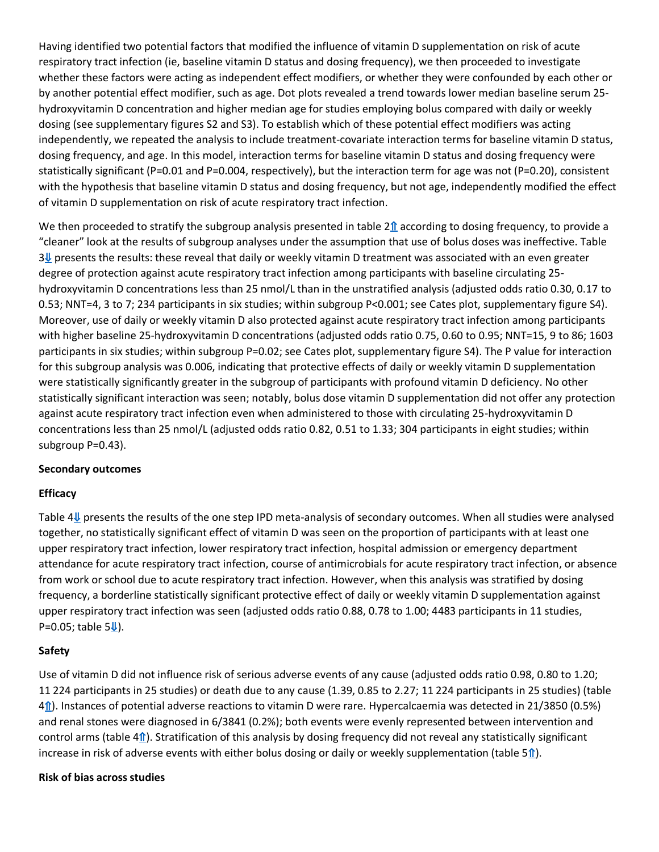Having identified two potential factors that modified the influence of vitamin D supplementation on risk of acute respiratory tract infection (ie, baseline vitamin D status and dosing frequency), we then proceeded to investigate whether these factors were acting as independent effect modifiers, or whether they were confounded by each other or by another potential effect modifier, such as age. Dot plots revealed a trend towards lower median baseline serum 25 hydroxyvitamin D concentration and higher median age for studies employing bolus compared with daily or weekly dosing (see supplementary figures S2 and S3). To establish which of these potential effect modifiers was acting independently, we repeated the analysis to include treatment-covariate interaction terms for baseline vitamin D status, dosing frequency, and age. In this model, interaction terms for baseline vitamin D status and dosing frequency were statistically significant (P=0.01 and P=0.004, respectively), but the interaction term for age was not (P=0.20), consistent with the hypothesis that baseline vitamin D status and dosing frequency, but not age, independently modified the effect of vitamin D supplementation on risk of acute respiratory tract infection.

We then proceeded to stratify the subgroup analysis presented in table  $2\hat{\bf n}$  according to dosing frequency, to provide a "cleaner" look at the results of subgroup analyses under the assumption that use of bolus doses was ineffective. Table  $3\sqrt[4]{}$  presents the results: these reveal that daily or weekly vitamin D treatment was associated with an even greater degree of protection against acute respiratory tract infection among participants with baseline circulating 25 hydroxyvitamin D concentrations less than 25 nmol/L than in the unstratified analysis (adjusted odds ratio 0.30, 0.17 to 0.53; NNT=4, 3 to 7; 234 participants in six studies; within subgroup P<0.001; see Cates plot, supplementary figure S4). Moreover, use of daily or weekly vitamin D also protected against acute respiratory tract infection among participants with higher baseline 25-hydroxyvitamin D concentrations (adjusted odds ratio 0.75, 0.60 to 0.95; NNT=15, 9 to 86; 1603 participants in six studies; within subgroup P=0.02; see Cates plot, supplementary figure S4). The P value for interaction for this subgroup analysis was 0.006, indicating that protective effects of daily or weekly vitamin D supplementation were statistically significantly greater in the subgroup of participants with profound vitamin D deficiency. No other statistically significant interaction was seen; notably, bolus dose vitamin D supplementation did not offer any protection against acute respiratory tract infection even when administered to those with circulating 25-hydroxyvitamin D concentrations less than 25 nmol/L (adjusted odds ratio 0.82, 0.51 to 1.33; 304 participants in eight studies; within subgroup P=0.43).

#### **Secondary outcomes**

#### **Efficacy**

Table 4[⇓](http://www.bmj.com/content/356/bmj.i6583#T4) presents the results of the one step IPD meta-analysis of secondary outcomes. When all studies were analysed together, no statistically significant effect of vitamin D was seen on the proportion of participants with at least one upper respiratory tract infection, lower respiratory tract infection, hospital admission or emergency department attendance for acute respiratory tract infection, course of antimicrobials for acute respiratory tract infection, or absence from work or school due to acute respiratory tract infection. However, when this analysis was stratified by dosing frequency, a borderline statistically significant protective effect of daily or weekly vitamin D supplementation against upper respiratory tract infection was seen (adjusted odds ratio 0.88, 0.78 to 1.00; 4483 participants in 11 studies, P=0.05; table  $5\frac{1}{2}$ ).

#### **Safety**

Use of vitamin D did not influence risk of serious adverse events of any cause (adjusted odds ratio 0.98, 0.80 to 1.20; 11 224 participants in 25 studies) or death due to any cause (1.39, 0.85 to 2.27; 11 224 participants in 25 studies) (table 4[⇑](http://www.bmj.com/content/356/bmj.i6583#T4)). Instances of potential adverse reactions to vitamin D were rare. Hypercalcaemia was detected in 21/3850 (0.5%) and renal stones were diagnosed in 6/3841 (0.2%); both events were evenly represented between intervention and control arms (table  $4<sub>1</sub>$ ). Stratification of this analysis by dosing frequency did not reveal any statistically significant increase in risk of adverse events with either bolus dosing or daily or weekly supplementation (table 5[⇑](http://www.bmj.com/content/356/bmj.i6583#T5)).

#### **Risk of bias across studies**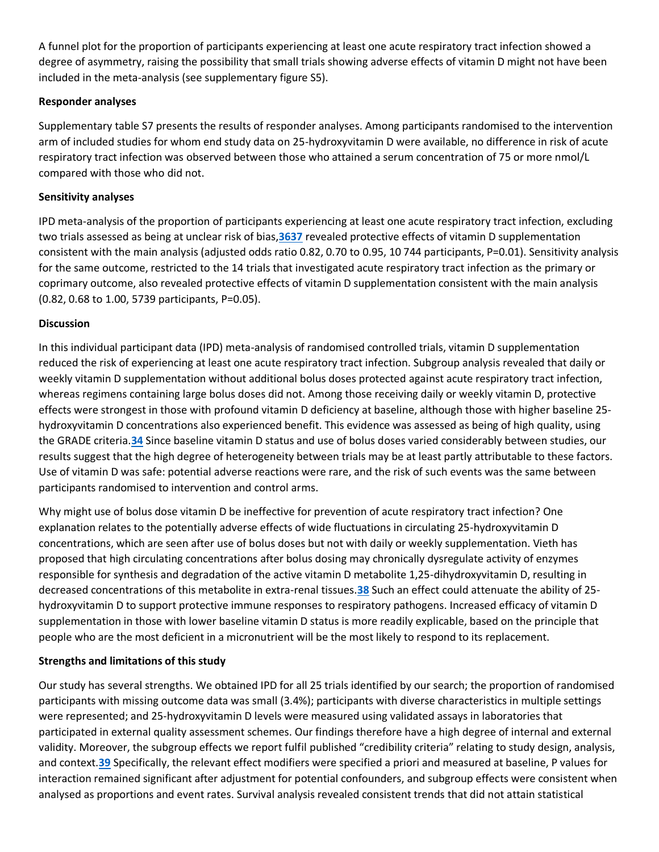A funnel plot for the proportion of participants experiencing at least one acute respiratory tract infection showed a degree of asymmetry, raising the possibility that small trials showing adverse effects of vitamin D might not have been included in the meta-analysis (see supplementary figure S5).

## **Responder analyses**

Supplementary table S7 presents the results of responder analyses. Among participants randomised to the intervention arm of included studies for whom end study data on 25-hydroxyvitamin D were available, no difference in risk of acute respiratory tract infection was observed between those who attained a serum concentration of 75 or more nmol/L compared with those who did not.

#### **Sensitivity analyses**

IPD meta-analysis of the proportion of participants experiencing at least one acute respiratory tract infection, excluding two trials assessed as being at unclear risk of bias,**[3637](http://www.bmj.com/content/356/bmj.i6583#ref-36)** revealed protective effects of vitamin D supplementation consistent with the main analysis (adjusted odds ratio 0.82, 0.70 to 0.95, 10 744 participants, P=0.01). Sensitivity analysis for the same outcome, restricted to the 14 trials that investigated acute respiratory tract infection as the primary or coprimary outcome, also revealed protective effects of vitamin D supplementation consistent with the main analysis (0.82, 0.68 to 1.00, 5739 participants, P=0.05).

### **Discussion**

In this individual participant data (IPD) meta-analysis of randomised controlled trials, vitamin D supplementation reduced the risk of experiencing at least one acute respiratory tract infection. Subgroup analysis revealed that daily or weekly vitamin D supplementation without additional bolus doses protected against acute respiratory tract infection, whereas regimens containing large bolus doses did not. Among those receiving daily or weekly vitamin D, protective effects were strongest in those with profound vitamin D deficiency at baseline, although those with higher baseline 25 hydroxyvitamin D concentrations also experienced benefit. This evidence was assessed as being of high quality, using the GRADE criteria.**[34](http://www.bmj.com/content/356/bmj.i6583#ref-34)** Since baseline vitamin D status and use of bolus doses varied considerably between studies, our results suggest that the high degree of heterogeneity between trials may be at least partly attributable to these factors. Use of vitamin D was safe: potential adverse reactions were rare, and the risk of such events was the same between participants randomised to intervention and control arms.

Why might use of bolus dose vitamin D be ineffective for prevention of acute respiratory tract infection? One explanation relates to the potentially adverse effects of wide fluctuations in circulating 25-hydroxyvitamin D concentrations, which are seen after use of bolus doses but not with daily or weekly supplementation. Vieth has proposed that high circulating concentrations after bolus dosing may chronically dysregulate activity of enzymes responsible for synthesis and degradation of the active vitamin D metabolite 1,25-dihydroxyvitamin D, resulting in decreased concentrations of this metabolite in extra-renal tissues.**[38](http://www.bmj.com/content/356/bmj.i6583#ref-38)** Such an effect could attenuate the ability of 25 hydroxyvitamin D to support protective immune responses to respiratory pathogens. Increased efficacy of vitamin D supplementation in those with lower baseline vitamin D status is more readily explicable, based on the principle that people who are the most deficient in a micronutrient will be the most likely to respond to its replacement.

## **Strengths and limitations of this study**

Our study has several strengths. We obtained IPD for all 25 trials identified by our search; the proportion of randomised participants with missing outcome data was small (3.4%); participants with diverse characteristics in multiple settings were represented; and 25-hydroxyvitamin D levels were measured using validated assays in laboratories that participated in external quality assessment schemes. Our findings therefore have a high degree of internal and external validity. Moreover, the subgroup effects we report fulfil published "credibility criteria" relating to study design, analysis, and context.**[39](http://www.bmj.com/content/356/bmj.i6583#ref-39)** Specifically, the relevant effect modifiers were specified a priori and measured at baseline, P values for interaction remained significant after adjustment for potential confounders, and subgroup effects were consistent when analysed as proportions and event rates. Survival analysis revealed consistent trends that did not attain statistical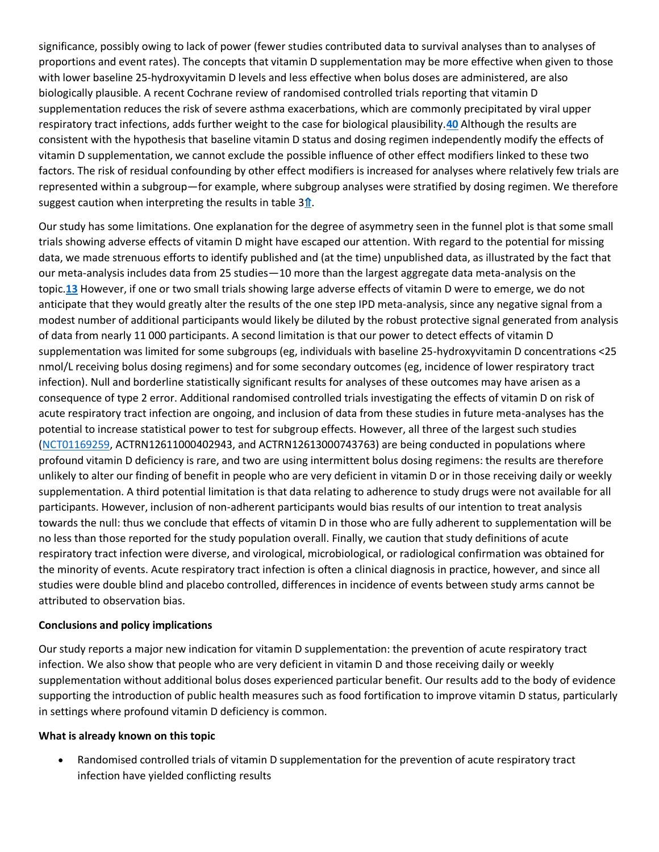significance, possibly owing to lack of power (fewer studies contributed data to survival analyses than to analyses of proportions and event rates). The concepts that vitamin D supplementation may be more effective when given to those with lower baseline 25-hydroxyvitamin D levels and less effective when bolus doses are administered, are also biologically plausible. A recent Cochrane review of randomised controlled trials reporting that vitamin D supplementation reduces the risk of severe asthma exacerbations, which are commonly precipitated by viral upper respiratory tract infections, adds further weight to the case for biological plausibility.**[40](http://www.bmj.com/content/356/bmj.i6583#ref-40)** Although the results are consistent with the hypothesis that baseline vitamin D status and dosing regimen independently modify the effects of vitamin D supplementation, we cannot exclude the possible influence of other effect modifiers linked to these two factors. The risk of residual confounding by other effect modifiers is increased for analyses where relatively few trials are represented within a subgroup—for example, where subgroup analyses were stratified by dosing regimen. We therefore suggest caution when interpreting the results in table  $3<sup>↑</sup>$ .

Our study has some limitations. One explanation for the degree of asymmetry seen in the funnel plot is that some small trials showing adverse effects of vitamin D might have escaped our attention. With regard to the potential for missing data, we made strenuous efforts to identify published and (at the time) unpublished data, as illustrated by the fact that our meta-analysis includes data from 25 studies—10 more than the largest aggregate data meta-analysis on the topic.**[13](http://www.bmj.com/content/356/bmj.i6583#ref-13)** However, if one or two small trials showing large adverse effects of vitamin D were to emerge, we do not anticipate that they would greatly alter the results of the one step IPD meta-analysis, since any negative signal from a modest number of additional participants would likely be diluted by the robust protective signal generated from analysis of data from nearly 11 000 participants. A second limitation is that our power to detect effects of vitamin D supplementation was limited for some subgroups (eg, individuals with baseline 25-hydroxyvitamin D concentrations <25 nmol/L receiving bolus dosing regimens) and for some secondary outcomes (eg, incidence of lower respiratory tract infection). Null and borderline statistically significant results for analyses of these outcomes may have arisen as a consequence of type 2 error. Additional randomised controlled trials investigating the effects of vitamin D on risk of acute respiratory tract infection are ongoing, and inclusion of data from these studies in future meta-analyses has the potential to increase statistical power to test for subgroup effects. However, all three of the largest such studies [\(NCT01169259,](http://www.bmj.com/lookup/external-ref?link_type=CLINTRIALGOV&access_num=NCT01169259&atom=%2Fbmj%2F356%2Fbmj.i6583.atom) ACTRN12611000402943, and ACTRN12613000743763) are being conducted in populations where profound vitamin D deficiency is rare, and two are using intermittent bolus dosing regimens: the results are therefore unlikely to alter our finding of benefit in people who are very deficient in vitamin D or in those receiving daily or weekly supplementation. A third potential limitation is that data relating to adherence to study drugs were not available for all participants. However, inclusion of non-adherent participants would bias results of our intention to treat analysis towards the null: thus we conclude that effects of vitamin D in those who are fully adherent to supplementation will be no less than those reported for the study population overall. Finally, we caution that study definitions of acute respiratory tract infection were diverse, and virological, microbiological, or radiological confirmation was obtained for the minority of events. Acute respiratory tract infection is often a clinical diagnosis in practice, however, and since all studies were double blind and placebo controlled, differences in incidence of events between study arms cannot be attributed to observation bias.

#### **Conclusions and policy implications**

Our study reports a major new indication for vitamin D supplementation: the prevention of acute respiratory tract infection. We also show that people who are very deficient in vitamin D and those receiving daily or weekly supplementation without additional bolus doses experienced particular benefit. Our results add to the body of evidence supporting the introduction of public health measures such as food fortification to improve vitamin D status, particularly in settings where profound vitamin D deficiency is common.

#### **What is already known on this topic**

 Randomised controlled trials of vitamin D supplementation for the prevention of acute respiratory tract infection have yielded conflicting results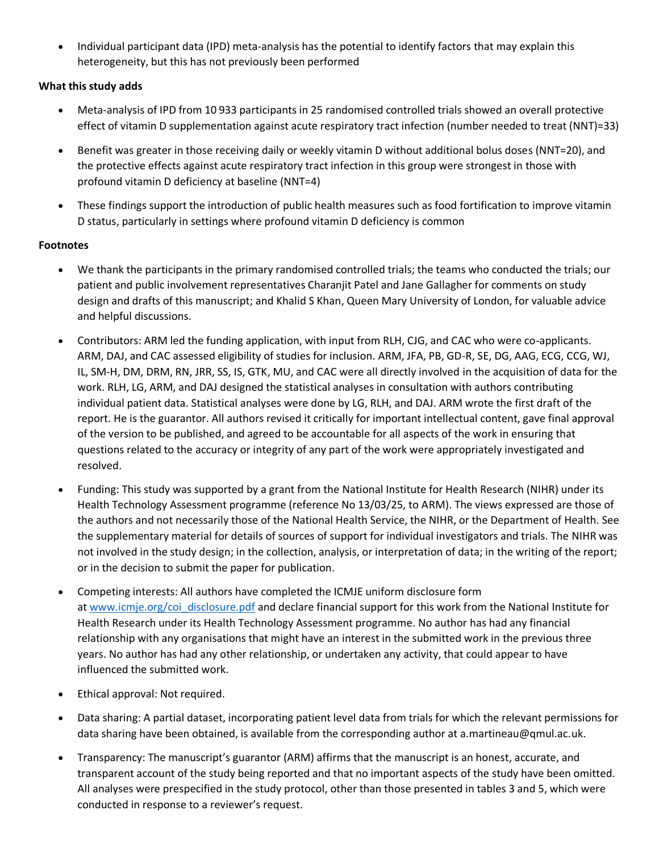• Individual participant data (IPD) meta-analysis has the potential to identify factors that may explain this heterogeneity, but this has not previously been performed

## **What this study adds**

- Meta-analysis of IPD from 10 933 participants in 25 randomised controlled trials showed an overall protective effect of vitamin D supplementation against acute respiratory tract infection (number needed to treat (NNT)=33)
- Benefit was greater in those receiving daily or weekly vitamin D without additional bolus doses (NNT=20), and the protective effects against acute respiratory tract infection in this group were strongest in those with profound vitamin D deficiency at baseline (NNT=4)
- These findings support the introduction of public health measures such as food fortification to improve vitamin D status, particularly in settings where profound vitamin D deficiency is common

## **Footnotes**

- We thank the participants in the primary randomised controlled trials; the teams who conducted the trials; our patient and public involvement representatives Charanjit Patel and Jane Gallagher for comments on study design and drafts of this manuscript; and Khalid S Khan, Queen Mary University of London, for valuable advice and helpful discussions.
- Contributors: ARM led the funding application, with input from RLH, CJG, and CAC who were co-applicants. ARM, DAJ, and CAC assessed eligibility of studies for inclusion. ARM, JFA, PB, GD-R, SE, DG, AAG, ECG, CCG, WJ, IL, SM-H, DM, DRM, RN, JRR, SS, IS, GTK, MU, and CAC were all directly involved in the acquisition of data for the work. RLH, LG, ARM, and DAJ designed the statistical analyses in consultation with authors contributing individual patient data. Statistical analyses were done by LG, RLH, and DAJ. ARM wrote the first draft of the report. He is the guarantor. All authors revised it critically for important intellectual content, gave final approval of the version to be published, and agreed to be accountable for all aspects of the work in ensuring that questions related to the accuracy or integrity of any part of the work were appropriately investigated and resolved.
- Funding: This study was supported by a grant from the National Institute for Health Research (NIHR) under its Health Technology Assessment programme (reference No 13/03/25, to ARM). The views expressed are those of the authors and not necessarily those of the National Health Service, the NIHR, or the Department of Health. See the supplementary material for details of sources of support for individual investigators and trials. The NIHR was not involved in the study design; in the collection, analysis, or interpretation of data; in the writing of the report; or in the decision to submit the paper for publication.
- Competing interests: All authors have completed the ICMJE uniform disclosure form at [www.icmje.org/coi\\_disclosure.pdf](http://www.icmje.org/coi_disclosure.pdf) and declare financial support for this work from the National Institute for Health Research under its Health Technology Assessment programme. No author has had any financial relationship with any organisations that might have an interest in the submitted work in the previous three years. No author has had any other relationship, or undertaken any activity, that could appear to have influenced the submitted work.
- Ethical approval: Not required.
- Data sharing: A partial dataset, incorporating patient level data from trials for which the relevant permissions for data sharing have been obtained, is available from the corresponding author at a.martineau@qmul.ac.uk.
- Transparency: The manuscript's guarantor (ARM) affirms that the manuscript is an honest, accurate, and transparent account of the study being reported and that no important aspects of the study have been omitted. All analyses were prespecified in the study protocol, other than those presented in tables 3 and 5, which were conducted in response to a reviewer's request.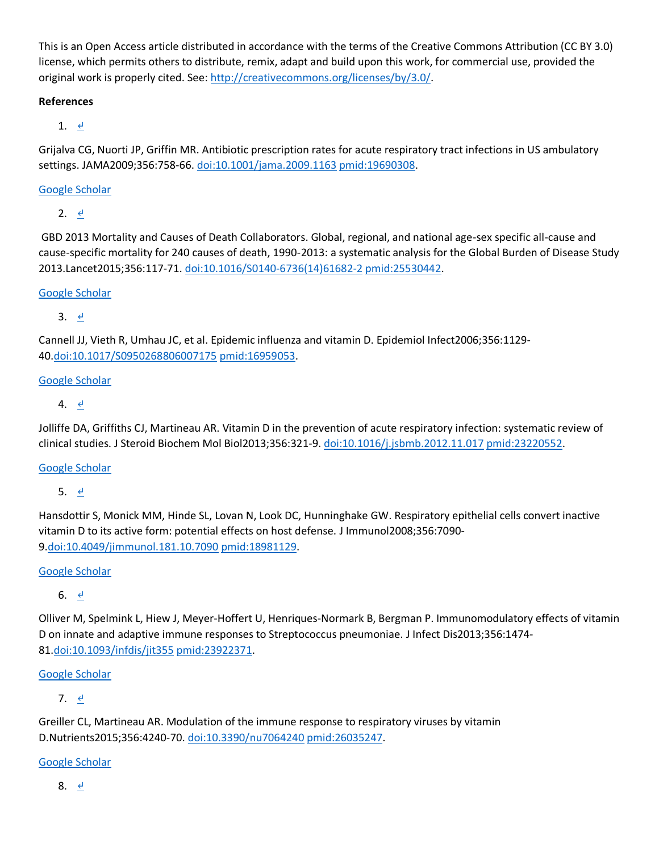This is an Open Access article distributed in accordance with the terms of the Creative Commons Attribution (CC BY 3.0) license, which permits others to distribute, remix, adapt and build upon this work, for commercial use, provided the original work is properly cited. See: [http://creativecommons.org/licenses/by/3.0/.](http://creativecommons.org/licenses/by/3.0/)

## **References**

1.  $\leq$ 

Grijalva CG, Nuorti JP, Griffin MR. Antibiotic prescription rates for acute respiratory tract infections in US ambulatory settings. JAMA2009;356:758-66. [doi:10.1001/jama.2009.1163](http://dx.doi.org/10.1001/jama.2009.1163) [pmid:19690308.](http://www.ncbi.nlm.nih.gov/pubmed/?term=19690308)

[Google Scholar](http://www.bmj.com/lookup/google-scholar?link_type=googlescholar&gs_type=article&q_txt=Grijalva%C2%A0CG%2C%C2%A0Nuorti%C2%A0JP%2C%C2%A0Griffin%C2%A0MR.+Antibiotic+prescription+rates+for+acute+respiratory+tract+infections+in+US+ambulatory+settings.+JAMA2009%3B356%3A758-66.+doi%3A10.1001%2Fjama.2009.1163%C2%A0pmid%3A19690308.)

2.  $\frac{d}{2}$ 

GBD 2013 Mortality and Causes of Death Collaborators. Global, regional, and national age-sex specific all-cause and cause-specific mortality for 240 causes of death, 1990-2013: a systematic analysis for the Global Burden of Disease Study 2013.Lancet2015;356:117-71. [doi:10.1016/S0140-6736\(14\)61682-2](http://dx.doi.org/10.1016/S0140-6736(14)61682-2) [pmid:25530442.](http://www.ncbi.nlm.nih.gov/pubmed/?term=25530442)

[Google Scholar](http://www.bmj.com/lookup/google-scholar?link_type=googlescholar&gs_type=article&q_txt=%C2%A0GBD+2013+Mortality+and+Causes+of+Death+Collaborators.+Global%2C+regional%2C+and+national+age-sex+specific+all-cause+and+cause-specific+mortality+for+240+causes+of+death%2C+1990-2013%3A+a+systematic+analysis+for+the+Global+Burden+of+Disease+Study+2013.+Lancet2015%3B356%3A117-71.+doi%3A10.1016%2FS0140-6736(14)61682-2%C2%A0pmid%3A25530442.)

3.  $\leq$ 

Cannell JJ, Vieth R, Umhau JC, et al. Epidemic influenza and vitamin D. Epidemiol Infect2006;356:1129- 40[.doi:10.1017/S0950268806007175](http://dx.doi.org/10.1017/S0950268806007175) [pmid:16959053.](http://www.ncbi.nlm.nih.gov/pubmed/?term=16959053)

[Google Scholar](http://www.bmj.com/lookup/google-scholar?link_type=googlescholar&gs_type=article&q_txt=Cannell%C2%A0JJ%2C%C2%A0Vieth%C2%A0R%2C%C2%A0Umhau%C2%A0JC%2C%C2%A0et+al.+Epidemic+influenza+and+vitamin+D.+Epidemiol+Infect2006%3B356%3A1129-40.+doi%3A10.1017%2FS0950268806007175%C2%A0pmid%3A16959053.)

4.  $\leq$ 

Jolliffe DA, Griffiths CJ, Martineau AR. Vitamin D in the prevention of acute respiratory infection: systematic review of clinical studies. J Steroid Biochem Mol Biol2013;356:321-9. [doi:10.1016/j.jsbmb.2012.11.017](http://dx.doi.org/10.1016/j.jsbmb.2012.11.017) [pmid:23220552.](http://www.ncbi.nlm.nih.gov/pubmed/?term=23220552)

[Google Scholar](http://www.bmj.com/lookup/google-scholar?link_type=googlescholar&gs_type=article&q_txt=Jolliffe%C2%A0DA%2C%C2%A0Griffiths%C2%A0CJ%2C%C2%A0Martineau%C2%A0AR.+Vitamin+D+in+the+prevention+of+acute+respiratory+infection%3A+systematic+review+of+clinical+studies.+J+Steroid+Biochem+Mol+Biol2013%3B356%3A321-9.+doi%3A10.1016%2Fj.jsbmb.2012.11.017%C2%A0pmid%3A23220552.)

5. [↵](http://www.bmj.com/content/356/bmj.i6583#xref-ref-5-1)

Hansdottir S, Monick MM, Hinde SL, Lovan N, Look DC, Hunninghake GW. Respiratory epithelial cells convert inactive vitamin D to its active form: potential effects on host defense. J Immunol2008;356:7090- 9[.doi:10.4049/jimmunol.181.10.7090](http://dx.doi.org/10.4049/jimmunol.181.10.7090) [pmid:18981129.](http://www.ncbi.nlm.nih.gov/pubmed/?term=18981129)

[Google Scholar](http://www.bmj.com/lookup/google-scholar?link_type=googlescholar&gs_type=article&q_txt=Hansdottir%C2%A0S%2C%C2%A0Monick%C2%A0MM%2C%C2%A0Hinde%C2%A0SL%2C%C2%A0Lovan%C2%A0N%2C%C2%A0Look%C2%A0DC%2C%C2%A0Hunninghake%C2%A0GW.+Respiratory+epithelial+cells+convert+inactive+vitamin+D+to+its+active+form%3A+potential+effects+on+host+defense.+J+Immunol2008%3B356%3A7090-9.+doi%3A10.4049%2Fjimmunol.181.10.7090%C2%A0pmid%3A18981129.)

6.  $\leq$ 

Olliver M, Spelmink L, Hiew J, Meyer-Hoffert U, Henriques-Normark B, Bergman P. Immunomodulatory effects of vitamin D on innate and adaptive immune responses to Streptococcus pneumoniae. J Infect Dis2013;356:1474- 81[.doi:10.1093/infdis/jit355](http://dx.doi.org/10.1093/infdis/jit355) [pmid:23922371.](http://www.ncbi.nlm.nih.gov/pubmed/?term=23922371)

[Google Scholar](http://www.bmj.com/lookup/google-scholar?link_type=googlescholar&gs_type=article&q_txt=Olliver%C2%A0M%2C%C2%A0Spelmink%C2%A0L%2C%C2%A0Hiew%C2%A0J%2C%C2%A0Meyer-Hoffert%C2%A0U%2C%C2%A0Henriques-Normark%C2%A0B%2C%C2%A0Bergman%C2%A0P.+Immunomodulatory+effects+of+vitamin+D+on+innate+and+adaptive+immune+responses+to+Streptococcus+pneumoniae.+J+Infect+Dis2013%3B356%3A1474-81.+doi%3A10.1093%2Finfdis%2Fjit355%C2%A0pmid%3A23922371.)

7. [↵](http://www.bmj.com/content/356/bmj.i6583#xref-ref-7-1)

Greiller CL, Martineau AR. Modulation of the immune response to respiratory viruses by vitamin D.Nutrients2015;356:4240-70. [doi:10.3390/nu7064240](http://dx.doi.org/10.3390/nu7064240) [pmid:26035247.](http://www.ncbi.nlm.nih.gov/pubmed/?term=26035247)

[Google Scholar](http://www.bmj.com/lookup/google-scholar?link_type=googlescholar&gs_type=article&q_txt=Greiller%C2%A0CL%2C%C2%A0Martineau%C2%A0AR.+Modulation+of+the+immune+response+to+respiratory+viruses+by+vitamin+D.+Nutrients2015%3B356%3A4240-70.+doi%3A10.3390%2Fnu7064240%C2%A0pmid%3A26035247.)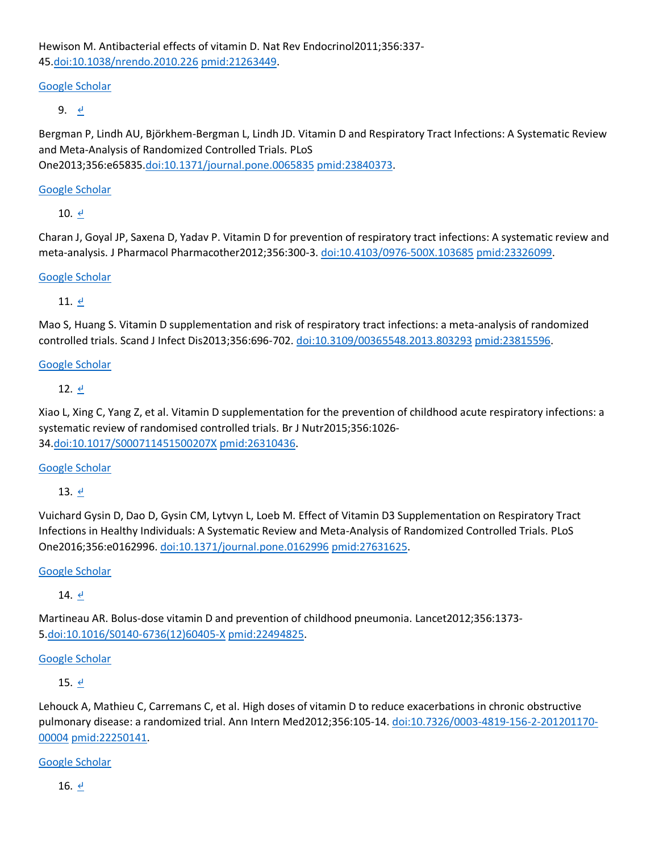Hewison M. Antibacterial effects of vitamin D. Nat Rev Endocrinol2011;356:337- 45[.doi:10.1038/nrendo.2010.226](http://dx.doi.org/10.1038/nrendo.2010.226) [pmid:21263449.](http://www.ncbi.nlm.nih.gov/pubmed/?term=21263449)

## [Google Scholar](http://www.bmj.com/lookup/google-scholar?link_type=googlescholar&gs_type=article&q_txt=Hewison%C2%A0M.+Antibacterial+effects+of+vitamin+D.+Nat+Rev+Endocrinol2011%3B356%3A337-45.+doi%3A10.1038%2Fnrendo.2010.226%C2%A0pmid%3A21263449.)

9. [↵](http://www.bmj.com/content/356/bmj.i6583#xref-ref-9-1)

Bergman P, Lindh AU, Björkhem-Bergman L, Lindh JD. Vitamin D and Respiratory Tract Infections: A Systematic Review and Meta-Analysis of Randomized Controlled Trials. PLoS

One2013;356:e65835[.doi:10.1371/journal.pone.0065835](http://dx.doi.org/10.1371/journal.pone.0065835) [pmid:23840373.](http://www.ncbi.nlm.nih.gov/pubmed/?term=23840373)

#### [Google Scholar](http://www.bmj.com/lookup/google-scholar?link_type=googlescholar&gs_type=article&q_txt=Bergman%C2%A0P%2C%C2%A0Lindh%C2%A0AU%2C%C2%A0Bj%C3%B6rkhem-Bergman%C2%A0L%2C%C2%A0Lindh%C2%A0JD.+Vitamin+D+and+Respiratory+Tract+Infections%3A+A+Systematic+Review+and+Meta-Analysis+of+Randomized+Controlled+Trials.+PLoS+One2013%3B356%3Ae65835.+doi%3A10.1371%2Fjournal.pone.0065835%C2%A0pmid%3A23840373.)

10. [↵](http://www.bmj.com/content/356/bmj.i6583#xref-ref-10-1)

Charan J, Goyal JP, Saxena D, Yadav P. Vitamin D for prevention of respiratory tract infections: A systematic review and meta-analysis. J Pharmacol Pharmacother2012;356:300-3. [doi:10.4103/0976-500X.103685](http://dx.doi.org/10.4103/0976-500X.103685) [pmid:23326099.](http://www.ncbi.nlm.nih.gov/pubmed/?term=23326099)

### [Google Scholar](http://www.bmj.com/lookup/google-scholar?link_type=googlescholar&gs_type=article&q_txt=Charan%C2%A0J%2C%C2%A0Goyal%C2%A0JP%2C%C2%A0Saxena%C2%A0D%2C%C2%A0Yadav%C2%A0P.+Vitamin+D+for+prevention+of+respiratory+tract+infections%3A+A+systematic+review+and+meta-analysis.+J+Pharmacol+Pharmacother2012%3B356%3A300-3.+doi%3A10.4103%2F0976-500X.103685%C2%A0pmid%3A23326099.)

11.  $\leq$ 

Mao S, Huang S. Vitamin D supplementation and risk of respiratory tract infections: a meta-analysis of randomized controlled trials. Scand J Infect Dis2013;356:696-702. [doi:10.3109/00365548.2013.803293](http://dx.doi.org/10.3109/00365548.2013.803293) [pmid:23815596.](http://www.ncbi.nlm.nih.gov/pubmed/?term=23815596)

#### [Google Scholar](http://www.bmj.com/lookup/google-scholar?link_type=googlescholar&gs_type=article&q_txt=Mao%C2%A0S%2C%C2%A0Huang%C2%A0S.+Vitamin+D+supplementation+and+risk+of+respiratory+tract+infections%3A+a+meta-analysis+of+randomized+controlled+trials.+Scand+J+Infect+Dis2013%3B356%3A696-702.+doi%3A10.3109%2F00365548.2013.803293%C2%A0pmid%3A23815596.)

12.  $\leq$ 

Xiao L, Xing C, Yang Z, et al. Vitamin D supplementation for the prevention of childhood acute respiratory infections: a systematic review of randomised controlled trials. Br J Nutr2015;356:1026- 34[.doi:10.1017/S000711451500207X](http://dx.doi.org/10.1017/S000711451500207X) [pmid:26310436.](http://www.ncbi.nlm.nih.gov/pubmed/?term=26310436)

#### [Google Scholar](http://www.bmj.com/lookup/google-scholar?link_type=googlescholar&gs_type=article&q_txt=Xiao%C2%A0L%2C%C2%A0Xing%C2%A0C%2C%C2%A0Yang%C2%A0Z%2C%C2%A0et+al.+Vitamin+D+supplementation+for+the+prevention+of+childhood+acute+respiratory+infections%3A+a+systematic+review+of+randomised+controlled+trials.+Br+J+Nutr2015%3B356%3A1026-34.+doi%3A10.1017%2FS000711451500207X%C2%A0pmid%3A26310436.)

13. [↵](http://www.bmj.com/content/356/bmj.i6583#xref-ref-13-1)

Vuichard Gysin D, Dao D, Gysin CM, Lytvyn L, Loeb M. Effect of Vitamin D3 Supplementation on Respiratory Tract Infections in Healthy Individuals: A Systematic Review and Meta-Analysis of Randomized Controlled Trials. PLoS One2016;356:e0162996. [doi:10.1371/journal.pone.0162996](http://dx.doi.org/10.1371/journal.pone.0162996) [pmid:27631625.](http://www.ncbi.nlm.nih.gov/pubmed/?term=27631625)

#### [Google Scholar](http://www.bmj.com/lookup/google-scholar?link_type=googlescholar&gs_type=article&q_txt=Vuichard+Gysin%C2%A0D%2C%C2%A0Dao%C2%A0D%2C%C2%A0Gysin%C2%A0CM%2C%C2%A0Lytvyn%C2%A0L%2C%C2%A0Loeb%C2%A0M.+Effect+of+Vitamin+D3+Supplementation+on+Respiratory+Tract+Infections+in+Healthy+Individuals%3A+A+Systematic+Review+and+Meta-Analysis+of+Randomized+Controlled+Trials.+PLoS+One2016%3B356%3Ae0162996.+doi%3A10.1371%2Fjournal.pone.0162996%C2%A0pmid%3A27631625.)

14. [↵](http://www.bmj.com/content/356/bmj.i6583#xref-ref-14-1)

Martineau AR. Bolus-dose vitamin D and prevention of childhood pneumonia. Lancet2012;356:1373- 5[.doi:10.1016/S0140-6736\(12\)60405-X](http://dx.doi.org/10.1016/S0140-6736(12)60405-X) [pmid:22494825.](http://www.ncbi.nlm.nih.gov/pubmed/?term=22494825)

## [Google Scholar](http://www.bmj.com/lookup/google-scholar?link_type=googlescholar&gs_type=article&q_txt=Martineau%C2%A0AR.+Bolus-dose+vitamin+D+and+prevention+of+childhood+pneumonia.+Lancet2012%3B356%3A1373-5.+doi%3A10.1016%2FS0140-6736(12)60405-X%C2%A0pmid%3A22494825.)

15. [↵](http://www.bmj.com/content/356/bmj.i6583#xref-ref-15-1)

Lehouck A, Mathieu C, Carremans C, et al. High doses of vitamin D to reduce exacerbations in chronic obstructive pulmonary disease: a randomized trial. Ann Intern Med2012;356:105-14. [doi:10.7326/0003-4819-156-2-201201170-](http://dx.doi.org/10.7326/0003-4819-156-2-201201170-00004) [00004](http://dx.doi.org/10.7326/0003-4819-156-2-201201170-00004) [pmid:22250141.](http://www.ncbi.nlm.nih.gov/pubmed/?term=22250141)

[Google Scholar](http://www.bmj.com/lookup/google-scholar?link_type=googlescholar&gs_type=article&q_txt=Lehouck%C2%A0A%2C%C2%A0Mathieu%C2%A0C%2C%C2%A0Carremans%C2%A0C%2C%C2%A0et+al.+High+doses+of+vitamin+D+to+reduce+exacerbations+in+chronic+obstructive+pulmonary+disease%3A+a+randomized+trial.+Ann+Intern+Med2012%3B356%3A105-14.+doi%3A10.7326%2F0003-4819-156-2-201201170-00004%C2%A0pmid%3A22250141.)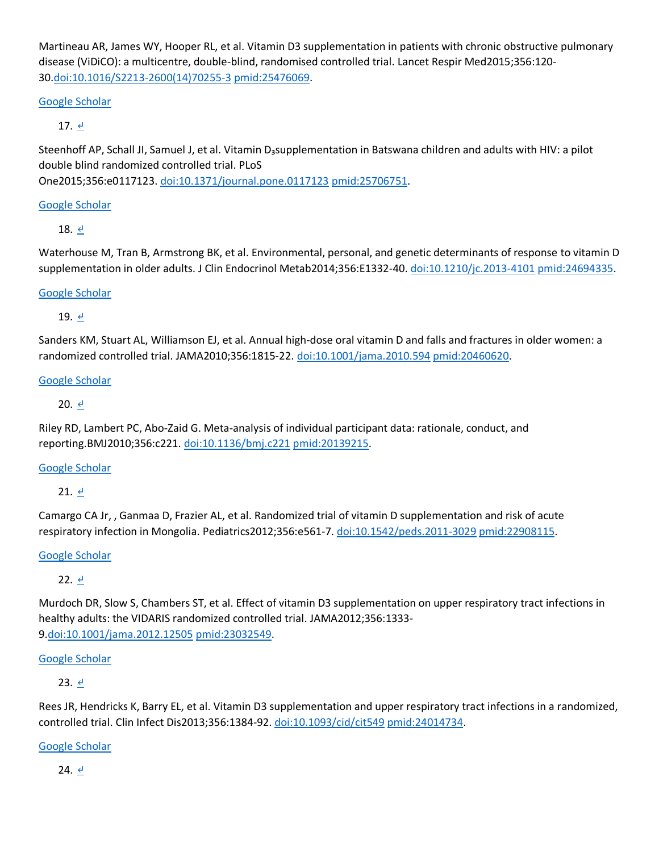Martineau AR, James WY, Hooper RL, et al. Vitamin D3 supplementation in patients with chronic obstructive pulmonary disease (ViDiCO): a multicentre, double-blind, randomised controlled trial. Lancet Respir Med2015;356:120- 30[.doi:10.1016/S2213-2600\(14\)70255-3](http://dx.doi.org/10.1016/S2213-2600(14)70255-3) [pmid:25476069.](http://www.ncbi.nlm.nih.gov/pubmed/?term=25476069)

## [Google Scholar](http://www.bmj.com/lookup/google-scholar?link_type=googlescholar&gs_type=article&q_txt=Martineau%C2%A0AR%2C%C2%A0James%C2%A0WY%2C%C2%A0Hooper%C2%A0RL%2C%C2%A0et+al.+Vitamin+D3+supplementation+in+patients+with+chronic+obstructive+pulmonary+disease+(ViDiCO)%3A+a+multicentre%2C+double-blind%2C+randomised+controlled+trial.+Lancet+Respir+Med2015%3B356%3A120-30.+doi%3A10.1016%2FS2213-2600(14)70255-3%C2%A0pmid%3A25476069.)

# 17.  $\leq$

Steenhoff AP, Schall JI, Samuel J, et al. Vitamin D<sub>a</sub>supplementation in Batswana children and adults with HIV: a pilot double blind randomized controlled trial. PLoS

One2015;356:e0117123. [doi:10.1371/journal.pone.0117123](http://dx.doi.org/10.1371/journal.pone.0117123) [pmid:25706751.](http://www.ncbi.nlm.nih.gov/pubmed/?term=25706751)

## [Google Scholar](http://www.bmj.com/lookup/google-scholar?link_type=googlescholar&gs_type=article&q_txt=Steenhoff%C2%A0AP%2C%C2%A0Schall%C2%A0JI%2C%C2%A0Samuel%C2%A0J%2C%C2%A0et+al.+Vitamin+D%E2%82%83supplementation+in+Batswana+children+and+adults+with+HIV%3A+a+pilot+double+blind+randomized+controlled+trial.+PLoS+One2015%3B356%3Ae0117123.+doi%3A10.1371%2Fjournal.pone.0117123%C2%A0pmid%3A25706751.)

18.  $\leq$ 

Waterhouse M, Tran B, Armstrong BK, et al. Environmental, personal, and genetic determinants of response to vitamin D supplementation in older adults. J Clin Endocrinol Metab2014;356:E1332-40. [doi:10.1210/jc.2013-4101](http://dx.doi.org/10.1210/jc.2013-4101) [pmid:24694335.](http://www.ncbi.nlm.nih.gov/pubmed/?term=24694335)

## [Google Scholar](http://www.bmj.com/lookup/google-scholar?link_type=googlescholar&gs_type=article&q_txt=Waterhouse%C2%A0M%2C%C2%A0Tran%C2%A0B%2C%C2%A0Armstrong%C2%A0BK%2C%C2%A0et+al.+Environmental%2C+personal%2C+and+genetic+determinants+of+response+to+vitamin+D+supplementation+in+older+adults.+J+Clin+Endocrinol+Metab2014%3B356%3AE1332-40.+doi%3A10.1210%2Fjc.2013-4101%C2%A0pmid%3A24694335.)

## 19. ₫

Sanders KM, Stuart AL, Williamson EJ, et al. Annual high-dose oral vitamin D and falls and fractures in older women: a randomized controlled trial. JAMA2010;356:1815-22. [doi:10.1001/jama.2010.594](http://dx.doi.org/10.1001/jama.2010.594) [pmid:20460620.](http://www.ncbi.nlm.nih.gov/pubmed/?term=20460620)

## [Google Scholar](http://www.bmj.com/lookup/google-scholar?link_type=googlescholar&gs_type=article&q_txt=Sanders%C2%A0KM%2C%C2%A0Stuart%C2%A0AL%2C%C2%A0Williamson%C2%A0EJ%2C%C2%A0et+al.+Annual+high-dose+oral+vitamin+D+and+falls+and+fractures+in+older+women%3A+a+randomized+controlled+trial.+JAMA2010%3B356%3A1815-22.+doi%3A10.1001%2Fjama.2010.594%C2%A0pmid%3A20460620.)

## 20.  $\leq$

Riley RD, Lambert PC, Abo-Zaid G. Meta-analysis of individual participant data: rationale, conduct, and reporting.BMJ2010;356:c221. [doi:10.1136/bmj.c221](http://dx.doi.org/10.1136/bmj.c221) [pmid:20139215.](http://www.ncbi.nlm.nih.gov/pubmed/?term=20139215)

## [Google Scholar](http://www.bmj.com/lookup/google-scholar?link_type=googlescholar&gs_type=article&q_txt=Riley%C2%A0RD%2C%C2%A0Lambert%C2%A0PC%2C%C2%A0Abo-Zaid%C2%A0G.+Meta-analysis+of+individual+participant+data%3A+rationale%2C+conduct%2C+and+reporting.+BMJ2010%3B356%3Ac221.+doi%3A10.1136%2Fbmj.c221%C2%A0pmid%3A20139215.)

 $21.$   $4$ 

Camargo CA Jr, , Ganmaa D, Frazier AL, et al. Randomized trial of vitamin D supplementation and risk of acute respiratory infection in Mongolia. Pediatrics2012;356:e561-7. [doi:10.1542/peds.2011-3029](http://dx.doi.org/10.1542/peds.2011-3029) [pmid:22908115.](http://www.ncbi.nlm.nih.gov/pubmed/?term=22908115)

## [Google Scholar](http://www.bmj.com/lookup/google-scholar?link_type=googlescholar&gs_type=article&q_txt=Camargo%C2%A0CA%C2%A0Jr%2C%C2%A0%2C%C2%A0Ganmaa%C2%A0D%2C%C2%A0Frazier%C2%A0AL%2C%C2%A0et+al.+Randomized+trial+of+vitamin+D+supplementation+and+risk+of+acute+respiratory+infection+in+Mongolia.+Pediatrics2012%3B356%3Ae561-7.+doi%3A10.1542%2Fpeds.2011-3029%C2%A0pmid%3A22908115.)

22. [↵](http://www.bmj.com/content/356/bmj.i6583#xref-ref-22-1)

Murdoch DR, Slow S, Chambers ST, et al. Effect of vitamin D3 supplementation on upper respiratory tract infections in healthy adults: the VIDARIS randomized controlled trial. JAMA2012;356:1333- 9[.doi:10.1001/jama.2012.12505](http://dx.doi.org/10.1001/jama.2012.12505) [pmid:23032549.](http://www.ncbi.nlm.nih.gov/pubmed/?term=23032549)

## [Google Scholar](http://www.bmj.com/lookup/google-scholar?link_type=googlescholar&gs_type=article&q_txt=Murdoch%C2%A0DR%2C%C2%A0Slow%C2%A0S%2C%C2%A0Chambers%C2%A0ST%2C%C2%A0et+al.+Effect+of+vitamin+D3+supplementation+on+upper+respiratory+tract+infections+in+healthy+adults%3A+the+VIDARIS+randomized+controlled+trial.+JAMA2012%3B356%3A1333-9.+doi%3A10.1001%2Fjama.2012.12505%C2%A0pmid%3A23032549.)

23.  $\leq$ 

Rees JR, Hendricks K, Barry EL, et al. Vitamin D3 supplementation and upper respiratory tract infections in a randomized, controlled trial. Clin Infect Dis2013;356:1384-92. [doi:10.1093/cid/cit549](http://dx.doi.org/10.1093/cid/cit549) [pmid:24014734.](http://www.ncbi.nlm.nih.gov/pubmed/?term=24014734)

[Google Scholar](http://www.bmj.com/lookup/google-scholar?link_type=googlescholar&gs_type=article&q_txt=Rees%C2%A0JR%2C%C2%A0Hendricks%C2%A0K%2C%C2%A0Barry%C2%A0EL%2C%C2%A0et+al.+Vitamin+D3+supplementation+and+upper+respiratory+tract+infections+in+a+randomized%2C+controlled+trial.+Clin+Infect+Dis2013%3B356%3A1384-92.+doi%3A10.1093%2Fcid%2Fcit549%C2%A0pmid%3A24014734.)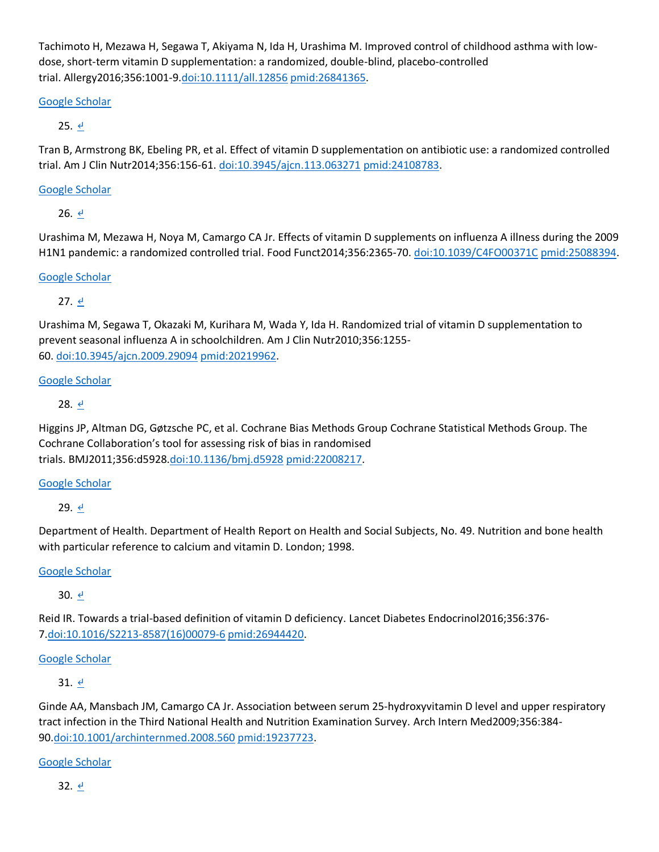Tachimoto H, Mezawa H, Segawa T, Akiyama N, Ida H, Urashima M. Improved control of childhood asthma with lowdose, short-term vitamin D supplementation: a randomized, double-blind, placebo-controlled trial. Allergy2016;356:1001-9[.doi:10.1111/all.12856](http://dx.doi.org/10.1111/all.12856) [pmid:26841365.](http://www.ncbi.nlm.nih.gov/pubmed/?term=26841365)

## [Google Scholar](http://www.bmj.com/lookup/google-scholar?link_type=googlescholar&gs_type=article&q_txt=Tachimoto%C2%A0H%2C%C2%A0Mezawa%C2%A0H%2C%C2%A0Segawa%C2%A0T%2C%C2%A0Akiyama%C2%A0N%2C%C2%A0Ida%C2%A0H%2C%C2%A0Urashima%C2%A0M.+Improved+control+of+childhood+asthma+with+low-dose%2C+short-term+vitamin+D+supplementation%3A+a+randomized%2C+double-blind%2C+placebo-controlled+trial.+Allergy2016%3B356%3A1001-9.+doi%3A10.1111%2Fall.12856%C2%A0pmid%3A26841365.)

## 25.  $\leq$

Tran B, Armstrong BK, Ebeling PR, et al. Effect of vitamin D supplementation on antibiotic use: a randomized controlled trial. Am J Clin Nutr2014;356:156-61. [doi:10.3945/ajcn.113.063271](http://dx.doi.org/10.3945/ajcn.113.063271) [pmid:24108783.](http://www.ncbi.nlm.nih.gov/pubmed/?term=24108783)

## [Google Scholar](http://www.bmj.com/lookup/google-scholar?link_type=googlescholar&gs_type=article&q_txt=Tran%C2%A0B%2C%C2%A0Armstrong%C2%A0BK%2C%C2%A0Ebeling%C2%A0PR%2C%C2%A0et+al.+Effect+of+vitamin+D+supplementation+on+antibiotic+use%3A+a+randomized+controlled+trial.+Am+J+Clin+Nutr2014%3B356%3A156-61.+doi%3A10.3945%2Fajcn.113.063271%C2%A0pmid%3A24108783.)

26.  $\theta$ 

Urashima M, Mezawa H, Noya M, Camargo CA Jr. Effects of vitamin D supplements on influenza A illness during the 2009 H1N1 pandemic: a randomized controlled trial. Food Funct2014;356:2365-70. [doi:10.1039/C4FO00371C](http://dx.doi.org/10.1039/C4FO00371C) [pmid:25088394.](http://www.ncbi.nlm.nih.gov/pubmed/?term=25088394)

## [Google Scholar](http://www.bmj.com/lookup/google-scholar?link_type=googlescholar&gs_type=article&q_txt=Urashima%C2%A0M%2C%C2%A0Mezawa%C2%A0H%2C%C2%A0Noya%C2%A0M%2C%C2%A0Camargo%C2%A0CA%C2%A0Jr.+Effects+of+vitamin+D+supplements+on+influenza+A+illness+during+the+2009+H1N1+pandemic%3A+a+randomized+controlled+trial.+Food+Funct2014%3B356%3A2365-70.+doi%3A10.1039%2FC4FO00371C%C2%A0pmid%3A25088394.)

27.  $\leq$ 

Urashima M, Segawa T, Okazaki M, Kurihara M, Wada Y, Ida H. Randomized trial of vitamin D supplementation to prevent seasonal influenza A in schoolchildren. Am J Clin Nutr2010;356:1255- 60. [doi:10.3945/ajcn.2009.29094](http://dx.doi.org/10.3945/ajcn.2009.29094) [pmid:20219962.](http://www.ncbi.nlm.nih.gov/pubmed/?term=20219962)

## [Google Scholar](http://www.bmj.com/lookup/google-scholar?link_type=googlescholar&gs_type=article&q_txt=Urashima%C2%A0M%2C%C2%A0Segawa%C2%A0T%2C%C2%A0Okazaki%C2%A0M%2C%C2%A0Kurihara%C2%A0M%2C%C2%A0Wada%C2%A0Y%2C%C2%A0Ida%C2%A0H.+Randomized+trial+of+vitamin+D+supplementation+to+prevent+seasonal+influenza+A+in+schoolchildren.+Am+J+Clin+Nutr2010%3B356%3A1255-60.+doi%3A10.3945%2Fajcn.2009.29094%C2%A0pmid%3A20219962.)

## 28.  $\leq$

Higgins JP, Altman DG, Gøtzsche PC, et al. Cochrane Bias Methods Group Cochrane Statistical Methods Group. The Cochrane Collaboration's tool for assessing risk of bias in randomised trials. BMJ2011;356:d5928[.doi:10.1136/bmj.d5928](http://dx.doi.org/10.1136/bmj.d5928) [pmid:22008217.](http://www.ncbi.nlm.nih.gov/pubmed/?term=22008217)

## [Google Scholar](http://www.bmj.com/lookup/google-scholar?link_type=googlescholar&gs_type=article&q_txt=Higgins%C2%A0JP%2C%C2%A0Altman%C2%A0DG%2C%C2%A0G%C3%B8tzsche%C2%A0PC%2C%C2%A0et+al.%C2%A0Cochrane+Bias+Methods+Group%C2%A0Cochrane+Statistical+Methods+Group.+The+Cochrane+Collaboration%E2%80%99s+tool+for+assessing+risk+of+bias+in+randomised+trials.+BMJ2011%3B356%3Ad5928.+doi%3A10.1136%2Fbmj.d5928%C2%A0pmid%3A22008217.)

29.  $\leq$ 

Department of Health. Department of Health Report on Health and Social Subjects, No. 49. Nutrition and bone health with particular reference to calcium and vitamin D. London; 1998.

## [Google Scholar](http://www.bmj.com/lookup/google-scholar?link_type=googlescholar&gs_type=article)

30. [↵](http://www.bmj.com/content/356/bmj.i6583#xref-ref-30-1)

Reid IR. Towards a trial-based definition of vitamin D deficiency. Lancet Diabetes Endocrinol2016;356:376- 7[.doi:10.1016/S2213-8587\(16\)00079-6](http://dx.doi.org/10.1016/S2213-8587(16)00079-6) [pmid:26944420.](http://www.ncbi.nlm.nih.gov/pubmed/?term=26944420)

## [Google Scholar](http://www.bmj.com/lookup/google-scholar?link_type=googlescholar&gs_type=article&q_txt=Reid%C2%A0IR.+Towards+a+trial-based+definition+of+vitamin+D+deficiency.+Lancet+Diabetes+Endocrinol2016%3B356%3A376-7.+doi%3A10.1016%2FS2213-8587(16)00079-6%C2%A0pmid%3A26944420.)

31.  $\leq$ 

Ginde AA, Mansbach JM, Camargo CA Jr. Association between serum 25-hydroxyvitamin D level and upper respiratory tract infection in the Third National Health and Nutrition Examination Survey. Arch Intern Med2009;356:384- 90[.doi:10.1001/archinternmed.2008.560](http://dx.doi.org/10.1001/archinternmed.2008.560) [pmid:19237723.](http://www.ncbi.nlm.nih.gov/pubmed/?term=19237723)

## [Google Scholar](http://www.bmj.com/lookup/google-scholar?link_type=googlescholar&gs_type=article&q_txt=Ginde%C2%A0AA%2C%C2%A0Mansbach%C2%A0JM%2C%C2%A0Camargo%C2%A0CA%C2%A0Jr.+Association+between+serum+25-hydroxyvitamin+D+level+and+upper+respiratory+tract+infection+in+the+Third+National+Health+and+Nutrition+Examination+Survey.+Arch+Intern+Med2009%3B356%3A384-90.+doi%3A10.1001%2Farchinternmed.2008.560%C2%A0pmid%3A19237723.)